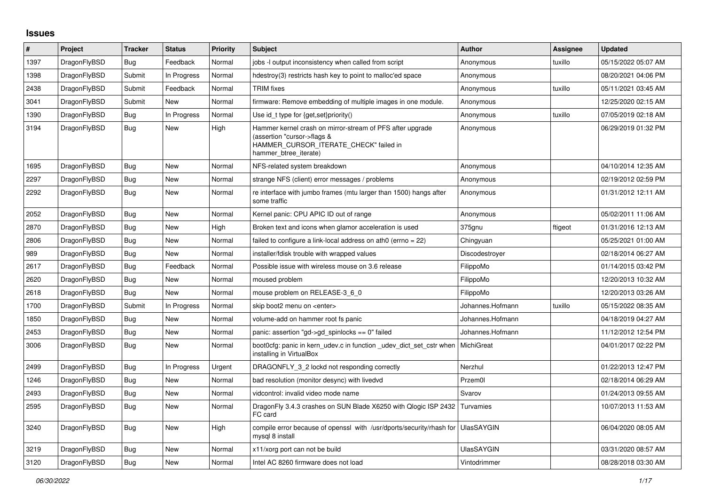## **Issues**

| $\vert$ # | Project      | <b>Tracker</b> | <b>Status</b> | <b>Priority</b> | <b>Subject</b>                                                                                                                                              | Author            | Assignee | <b>Updated</b>      |
|-----------|--------------|----------------|---------------|-----------------|-------------------------------------------------------------------------------------------------------------------------------------------------------------|-------------------|----------|---------------------|
| 1397      | DragonFlyBSD | Bug            | Feedback      | Normal          | jobs -I output inconsistency when called from script                                                                                                        | Anonymous         | tuxillo  | 05/15/2022 05:07 AM |
| 1398      | DragonFlyBSD | Submit         | In Progress   | Normal          | hdestroy(3) restricts hash key to point to malloc'ed space                                                                                                  | Anonymous         |          | 08/20/2021 04:06 PM |
| 2438      | DragonFlyBSD | Submit         | Feedback      | Normal          | <b>TRIM</b> fixes                                                                                                                                           | Anonymous         | tuxillo  | 05/11/2021 03:45 AM |
| 3041      | DragonFlyBSD | Submit         | New           | Normal          | firmware: Remove embedding of multiple images in one module.                                                                                                | Anonymous         |          | 12/25/2020 02:15 AM |
| 1390      | DragonFlyBSD | Bug            | In Progress   | Normal          | Use id_t type for {get, set}priority()                                                                                                                      | Anonymous         | tuxillo  | 07/05/2019 02:18 AM |
| 3194      | DragonFlyBSD | <b>Bug</b>     | New           | High            | Hammer kernel crash on mirror-stream of PFS after upgrade<br>(assertion "cursor->flags &<br>HAMMER_CURSOR_ITERATE_CHECK" failed in<br>hammer btree iterate) | Anonymous         |          | 06/29/2019 01:32 PM |
| 1695      | DragonFlyBSD | Bug            | New           | Normal          | NFS-related system breakdown                                                                                                                                | Anonymous         |          | 04/10/2014 12:35 AM |
| 2297      | DragonFlyBSD | <b>Bug</b>     | New           | Normal          | strange NFS (client) error messages / problems                                                                                                              | Anonymous         |          | 02/19/2012 02:59 PM |
| 2292      | DragonFlyBSD | Bug            | New           | Normal          | re interface with jumbo frames (mtu larger than 1500) hangs after<br>some traffic                                                                           | Anonymous         |          | 01/31/2012 12:11 AM |
| 2052      | DragonFlyBSD | Bug            | New           | Normal          | Kernel panic: CPU APIC ID out of range                                                                                                                      | Anonymous         |          | 05/02/2011 11:06 AM |
| 2870      | DragonFlyBSD | Bug            | New           | High            | Broken text and icons when glamor acceleration is used                                                                                                      | 375gnu            | ftigeot  | 01/31/2016 12:13 AM |
| 2806      | DragonFlyBSD | Bug            | New           | Normal          | failed to configure a link-local address on ath0 (errno = 22)                                                                                               | Chingyuan         |          | 05/25/2021 01:00 AM |
| 989       | DragonFlyBSD | Bug            | New           | Normal          | installer/fdisk trouble with wrapped values                                                                                                                 | Discodestrover    |          | 02/18/2014 06:27 AM |
| 2617      | DragonFlyBSD | <b>Bug</b>     | Feedback      | Normal          | Possible issue with wireless mouse on 3.6 release                                                                                                           | FilippoMo         |          | 01/14/2015 03:42 PM |
| 2620      | DragonFlyBSD | Bug            | New           | Normal          | moused problem                                                                                                                                              | FilippoMo         |          | 12/20/2013 10:32 AM |
| 2618      | DragonFlyBSD | <b>Bug</b>     | <b>New</b>    | Normal          | mouse problem on RELEASE-3_6_0                                                                                                                              | FilippoMo         |          | 12/20/2013 03:26 AM |
| 1700      | DragonFlyBSD | Submit         | In Progress   | Normal          | skip boot2 menu on <enter></enter>                                                                                                                          | Johannes.Hofmann  | tuxillo  | 05/15/2022 08:35 AM |
| 1850      | DragonFlyBSD | <b>Bug</b>     | <b>New</b>    | Normal          | volume-add on hammer root fs panic                                                                                                                          | Johannes.Hofmann  |          | 04/18/2019 04:27 AM |
| 2453      | DragonFlyBSD | Bug            | New           | Normal          | panic: assertion "gd->gd spinlocks == 0" failed                                                                                                             | Johannes.Hofmann  |          | 11/12/2012 12:54 PM |
| 3006      | DragonFlyBSD | <b>Bug</b>     | <b>New</b>    | Normal          | boot0cfg: panic in kern_udev.c in function _udev_dict_set_cstr when<br>installing in VirtualBox                                                             | MichiGreat        |          | 04/01/2017 02:22 PM |
| 2499      | DragonFlyBSD | Bug            | In Progress   | Urgent          | DRAGONFLY 3 2 lockd not responding correctly                                                                                                                | Nerzhul           |          | 01/22/2013 12:47 PM |
| 1246      | DragonFlyBSD | <b>Bug</b>     | <b>New</b>    | Normal          | bad resolution (monitor desync) with livedvd                                                                                                                | Przem0l           |          | 02/18/2014 06:29 AM |
| 2493      | DragonFlyBSD | <b>Bug</b>     | New           | Normal          | vidcontrol: invalid video mode name                                                                                                                         | Svarov            |          | 01/24/2013 09:55 AM |
| 2595      | DragonFlyBSD | Bug            | New           | Normal          | DragonFly 3.4.3 crashes on SUN Blade X6250 with Qlogic ISP 2432<br>FC card                                                                                  | Turvamies         |          | 10/07/2013 11:53 AM |
| 3240      | DragonFlyBSD | <b>Bug</b>     | New           | High            | compile error because of openssl with /usr/dports/security/rhash for  <br>mysql 8 install                                                                   | <b>UlasSAYGIN</b> |          | 06/04/2020 08:05 AM |
| 3219      | DragonFlyBSD | Bug            | New           | Normal          | x11/xorg port can not be build                                                                                                                              | <b>UlasSAYGIN</b> |          | 03/31/2020 08:57 AM |
| 3120      | DragonFlyBSD | Bug            | New           | Normal          | Intel AC 8260 firmware does not load                                                                                                                        | Vintodrimmer      |          | 08/28/2018 03:30 AM |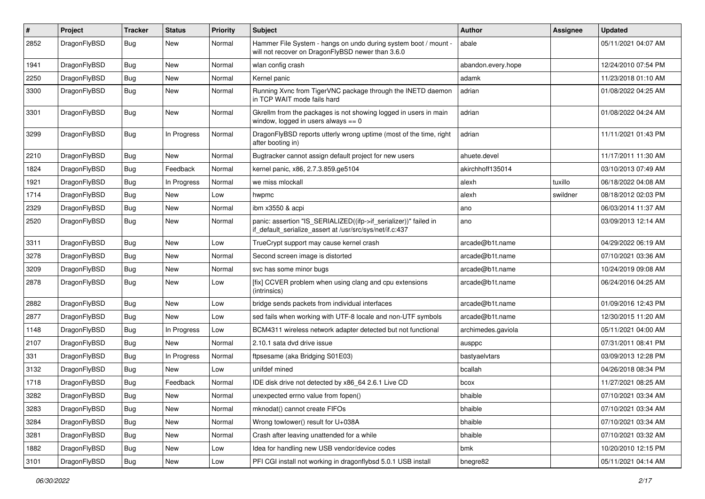| $\#$ | Project      | <b>Tracker</b> | <b>Status</b> | <b>Priority</b> | Subject                                                                                                                      | Author             | <b>Assignee</b> | <b>Updated</b>      |
|------|--------------|----------------|---------------|-----------------|------------------------------------------------------------------------------------------------------------------------------|--------------------|-----------------|---------------------|
| 2852 | DragonFlyBSD | Bug            | New           | Normal          | Hammer File System - hangs on undo during system boot / mount -<br>will not recover on DragonFlyBSD newer than 3.6.0         | abale              |                 | 05/11/2021 04:07 AM |
| 1941 | DragonFlyBSD | <b>Bug</b>     | New           | Normal          | wlan config crash                                                                                                            | abandon.every.hope |                 | 12/24/2010 07:54 PM |
| 2250 | DragonFlyBSD | <b>Bug</b>     | <b>New</b>    | Normal          | Kernel panic                                                                                                                 | adamk              |                 | 11/23/2018 01:10 AM |
| 3300 | DragonFlyBSD | Bug            | New           | Normal          | Running Xvnc from TigerVNC package through the INETD daemon<br>in TCP WAIT mode fails hard                                   | adrian             |                 | 01/08/2022 04:25 AM |
| 3301 | DragonFlyBSD | Bug            | New           | Normal          | Gkrellm from the packages is not showing logged in users in main<br>window, logged in users always $== 0$                    | adrian             |                 | 01/08/2022 04:24 AM |
| 3299 | DragonFlyBSD | Bug            | In Progress   | Normal          | DragonFlyBSD reports utterly wrong uptime (most of the time, right<br>after booting in)                                      | adrian             |                 | 11/11/2021 01:43 PM |
| 2210 | DragonFlyBSD | <b>Bug</b>     | New           | Normal          | Bugtracker cannot assign default project for new users                                                                       | ahuete.devel       |                 | 11/17/2011 11:30 AM |
| 1824 | DragonFlyBSD | <b>Bug</b>     | Feedback      | Normal          | kernel panic, x86, 2.7.3.859.ge5104                                                                                          | akirchhoff135014   |                 | 03/10/2013 07:49 AM |
| 1921 | DragonFlyBSD | Bug            | In Progress   | Normal          | we miss mlockall                                                                                                             | alexh              | tuxillo         | 06/18/2022 04:08 AM |
| 1714 | DragonFlyBSD | <b>Bug</b>     | New           | Low             | hwpmc                                                                                                                        | alexh              | swildner        | 08/18/2012 02:03 PM |
| 2329 | DragonFlyBSD | <b>Bug</b>     | <b>New</b>    | Normal          | ibm x3550 & acpi                                                                                                             | ano                |                 | 06/03/2014 11:37 AM |
| 2520 | DragonFlyBSD | Bug            | <b>New</b>    | Normal          | panic: assertion "IS_SERIALIZED((ifp->if_serializer))" failed in<br>if_default_serialize_assert at /usr/src/sys/net/if.c:437 | ano                |                 | 03/09/2013 12:14 AM |
| 3311 | DragonFlyBSD | Bug            | New           | Low             | TrueCrypt support may cause kernel crash                                                                                     | arcade@b1t.name    |                 | 04/29/2022 06:19 AM |
| 3278 | DragonFlyBSD | <b>Bug</b>     | <b>New</b>    | Normal          | Second screen image is distorted                                                                                             | arcade@b1t.name    |                 | 07/10/2021 03:36 AM |
| 3209 | DragonFlyBSD | <b>Bug</b>     | <b>New</b>    | Normal          | svc has some minor bugs                                                                                                      | arcade@b1t.name    |                 | 10/24/2019 09:08 AM |
| 2878 | DragonFlyBSD | Bug            | New           | Low             | [fix] CCVER problem when using clang and cpu extensions<br>(intrinsics)                                                      | arcade@b1t.name    |                 | 06/24/2016 04:25 AM |
| 2882 | DragonFlyBSD | Bug            | New           | Low             | bridge sends packets from individual interfaces                                                                              | arcade@b1t.name    |                 | 01/09/2016 12:43 PM |
| 2877 | DragonFlyBSD | Bug            | New           | Low             | sed fails when working with UTF-8 locale and non-UTF symbols                                                                 | arcade@b1t.name    |                 | 12/30/2015 11:20 AM |
| 1148 | DragonFlyBSD | Bug            | In Progress   | Low             | BCM4311 wireless network adapter detected but not functional                                                                 | archimedes.gaviola |                 | 05/11/2021 04:00 AM |
| 2107 | DragonFlyBSD | Bug            | New           | Normal          | 2.10.1 sata dvd drive issue                                                                                                  | ausppc             |                 | 07/31/2011 08:41 PM |
| 331  | DragonFlyBSD | <b>Bug</b>     | In Progress   | Normal          | ftpsesame (aka Bridging S01E03)                                                                                              | bastyaelvtars      |                 | 03/09/2013 12:28 PM |
| 3132 | DragonFlyBSD | Bug            | New           | Low             | unifdef mined                                                                                                                | bcallah            |                 | 04/26/2018 08:34 PM |
| 1718 | DragonFlyBSD | Bug            | Feedback      | Normal          | IDE disk drive not detected by x86_64 2.6.1 Live CD                                                                          | bcox               |                 | 11/27/2021 08:25 AM |
| 3282 | DragonFlyBSD | Bug            | <b>New</b>    | Normal          | unexpected errno value from fopen()                                                                                          | bhaible            |                 | 07/10/2021 03:34 AM |
| 3283 | DragonFlyBSD | <b>Bug</b>     | New           | Normal          | mknodat() cannot create FIFOs                                                                                                | bhaible            |                 | 07/10/2021 03:34 AM |
| 3284 | DragonFlyBSD | <b>Bug</b>     | New           | Normal          | Wrong towlower() result for U+038A                                                                                           | bhaible            |                 | 07/10/2021 03:34 AM |
| 3281 | DragonFlyBSD | <b>Bug</b>     | <b>New</b>    | Normal          | Crash after leaving unattended for a while                                                                                   | bhaible            |                 | 07/10/2021 03:32 AM |
| 1882 | DragonFlyBSD | Bug            | <b>New</b>    | Low             | Idea for handling new USB vendor/device codes                                                                                | bmk                |                 | 10/20/2010 12:15 PM |
| 3101 | DragonFlyBSD | <b>Bug</b>     | New           | Low             | PFI CGI install not working in dragonflybsd 5.0.1 USB install                                                                | bnegre82           |                 | 05/11/2021 04:14 AM |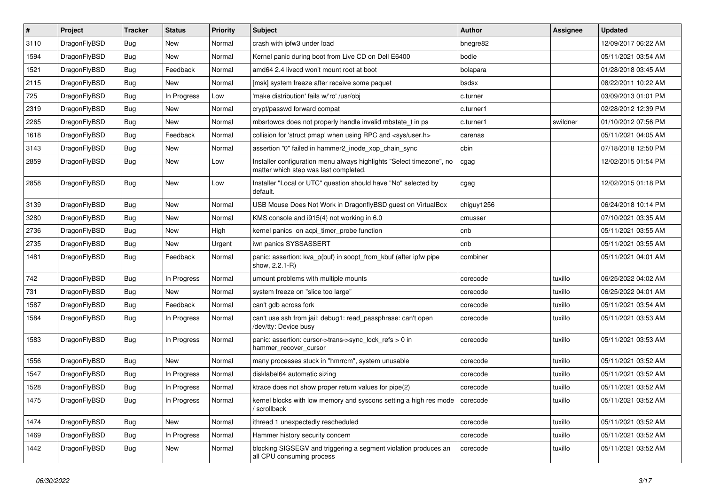| $\sharp$ | Project      | <b>Tracker</b> | <b>Status</b> | <b>Priority</b> | Subject                                                                                                       | Author     | Assignee | <b>Updated</b>      |
|----------|--------------|----------------|---------------|-----------------|---------------------------------------------------------------------------------------------------------------|------------|----------|---------------------|
| 3110     | DragonFlyBSD | Bug            | <b>New</b>    | Normal          | crash with ipfw3 under load                                                                                   | bnegre82   |          | 12/09/2017 06:22 AM |
| 1594     | DragonFlyBSD | Bug            | New           | Normal          | Kernel panic during boot from Live CD on Dell E6400                                                           | bodie      |          | 05/11/2021 03:54 AM |
| 1521     | DragonFlyBSD | Bug            | Feedback      | Normal          | amd64 2.4 livecd won't mount root at boot                                                                     | bolapara   |          | 01/28/2018 03:45 AM |
| 2115     | DragonFlyBSD | Bug            | New           | Normal          | [msk] system freeze after receive some paquet                                                                 | bsdsx      |          | 08/22/2011 10:22 AM |
| 725      | DragonFlyBSD | Bug            | In Progress   | Low             | 'make distribution' fails w/'ro' /usr/obj                                                                     | c.turner   |          | 03/09/2013 01:01 PM |
| 2319     | DragonFlyBSD | Bug            | <b>New</b>    | Normal          | crypt/passwd forward compat                                                                                   | c.turner1  |          | 02/28/2012 12:39 PM |
| 2265     | DragonFlyBSD | Bug            | New           | Normal          | mbsrtowcs does not properly handle invalid mbstate_t in ps                                                    | c.turner1  | swildner | 01/10/2012 07:56 PM |
| 1618     | DragonFlyBSD | Bug            | Feedback      | Normal          | collision for 'struct pmap' when using RPC and <sys user.h=""></sys>                                          | carenas    |          | 05/11/2021 04:05 AM |
| 3143     | DragonFlyBSD | Bug            | <b>New</b>    | Normal          | assertion "0" failed in hammer2 inode xop chain sync                                                          | cbin       |          | 07/18/2018 12:50 PM |
| 2859     | DragonFlyBSD | Bug            | New           | Low             | Installer configuration menu always highlights "Select timezone", no<br>matter which step was last completed. | cgag       |          | 12/02/2015 01:54 PM |
| 2858     | DragonFlyBSD | Bug            | New           | Low             | Installer "Local or UTC" question should have "No" selected by<br>default.                                    | cgag       |          | 12/02/2015 01:18 PM |
| 3139     | DragonFlyBSD | Bug            | New           | Normal          | USB Mouse Does Not Work in DragonflyBSD guest on VirtualBox                                                   | chiguy1256 |          | 06/24/2018 10:14 PM |
| 3280     | DragonFlyBSD | Bug            | New           | Normal          | KMS console and i915(4) not working in 6.0                                                                    | cmusser    |          | 07/10/2021 03:35 AM |
| 2736     | DragonFlyBSD | Bug            | New           | High            | kernel panics on acpi timer probe function                                                                    | cnb        |          | 05/11/2021 03:55 AM |
| 2735     | DragonFlyBSD | Bug            | New           | Urgent          | iwn panics SYSSASSERT                                                                                         | cnb        |          | 05/11/2021 03:55 AM |
| 1481     | DragonFlyBSD | Bug            | Feedback      | Normal          | panic: assertion: kva_p(buf) in soopt_from_kbuf (after ipfw pipe<br>show, 2.2.1-R)                            | combiner   |          | 05/11/2021 04:01 AM |
| 742      | DragonFlyBSD | Bug            | In Progress   | Normal          | umount problems with multiple mounts                                                                          | corecode   | tuxillo  | 06/25/2022 04:02 AM |
| 731      | DragonFlyBSD | Bug            | New           | Normal          | system freeze on "slice too large"                                                                            | corecode   | tuxillo  | 06/25/2022 04:01 AM |
| 1587     | DragonFlyBSD | Bug            | Feedback      | Normal          | can't gdb across fork                                                                                         | corecode   | tuxillo  | 05/11/2021 03:54 AM |
| 1584     | DragonFlyBSD | Bug            | In Progress   | Normal          | can't use ssh from jail: debug1: read passphrase: can't open<br>/dev/tty: Device busy                         | corecode   | tuxillo  | 05/11/2021 03:53 AM |
| 1583     | DragonFlyBSD | Bug            | In Progress   | Normal          | panic: assertion: cursor->trans->sync_lock_refs > 0 in<br>hammer recover cursor                               | corecode   | tuxillo  | 05/11/2021 03:53 AM |
| 1556     | DragonFlyBSD | Bug            | <b>New</b>    | Normal          | many processes stuck in "hmrrcm", system unusable                                                             | corecode   | tuxillo  | 05/11/2021 03:52 AM |
| 1547     | DragonFlyBSD | Bug            | In Progress   | Normal          | disklabel64 automatic sizing                                                                                  | corecode   | tuxillo  | 05/11/2021 03:52 AM |
| 1528     | DragonFlyBSD | Bug            | In Progress   | Normal          | ktrace does not show proper return values for pipe(2)                                                         | corecode   | tuxillo  | 05/11/2021 03:52 AM |
| 1475     | DragonFlyBSD | <b>Bug</b>     | In Progress   | Normal          | kernel blocks with low memory and syscons setting a high res mode   corecode<br>/ scrollback                  |            | tuxillo  | 05/11/2021 03:52 AM |
| 1474     | DragonFlyBSD | <b>Bug</b>     | New           | Normal          | ithread 1 unexpectedly rescheduled                                                                            | corecode   | tuxillo  | 05/11/2021 03:52 AM |
| 1469     | DragonFlyBSD | <b>Bug</b>     | In Progress   | Normal          | Hammer history security concern                                                                               | corecode   | tuxillo  | 05/11/2021 03:52 AM |
| 1442     | DragonFlyBSD | Bug            | New           | Normal          | blocking SIGSEGV and triggering a segment violation produces an<br>all CPU consuming process                  | corecode   | tuxillo  | 05/11/2021 03:52 AM |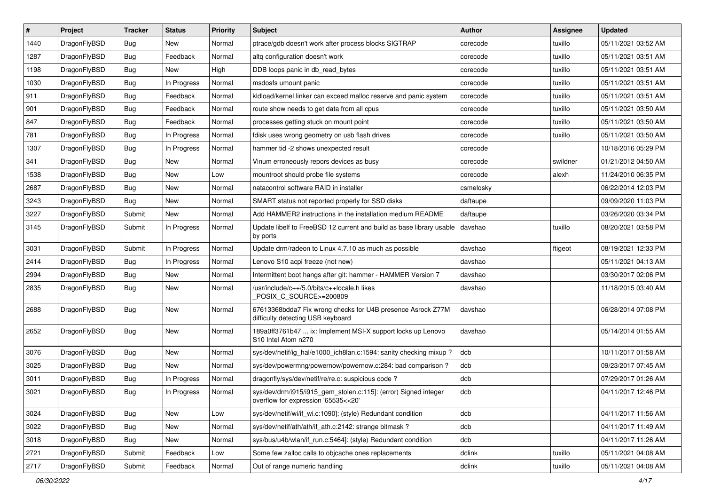| $\sharp$ | Project      | <b>Tracker</b> | <b>Status</b> | <b>Priority</b> | Subject                                                                                                | <b>Author</b> | <b>Assignee</b> | <b>Updated</b>      |
|----------|--------------|----------------|---------------|-----------------|--------------------------------------------------------------------------------------------------------|---------------|-----------------|---------------------|
| 1440     | DragonFlyBSD | Bug            | New           | Normal          | ptrace/gdb doesn't work after process blocks SIGTRAP                                                   | corecode      | tuxillo         | 05/11/2021 03:52 AM |
| 1287     | DragonFlyBSD | Bug            | Feedback      | Normal          | altg configuration doesn't work                                                                        | corecode      | tuxillo         | 05/11/2021 03:51 AM |
| 1198     | DragonFlyBSD | Bug            | New           | High            | DDB loops panic in db read bytes                                                                       | corecode      | tuxillo         | 05/11/2021 03:51 AM |
| 1030     | DragonFlyBSD | Bug            | In Progress   | Normal          | msdosfs umount panic                                                                                   | corecode      | tuxillo         | 05/11/2021 03:51 AM |
| 911      | DragonFlyBSD | Bug            | Feedback      | Normal          | kldload/kernel linker can exceed malloc reserve and panic system                                       | corecode      | tuxillo         | 05/11/2021 03:51 AM |
| 901      | DragonFlyBSD | Bug            | Feedback      | Normal          | route show needs to get data from all cpus                                                             | corecode      | tuxillo         | 05/11/2021 03:50 AM |
| 847      | DragonFlyBSD | Bug            | Feedback      | Normal          | processes getting stuck on mount point                                                                 | corecode      | tuxillo         | 05/11/2021 03:50 AM |
| 781      | DragonFlyBSD | Bug            | In Progress   | Normal          | fdisk uses wrong geometry on usb flash drives                                                          | corecode      | tuxillo         | 05/11/2021 03:50 AM |
| 1307     | DragonFlyBSD | Bug            | In Progress   | Normal          | hammer tid -2 shows unexpected result                                                                  | corecode      |                 | 10/18/2016 05:29 PM |
| 341      | DragonFlyBSD | Bug            | <b>New</b>    | Normal          | Vinum erroneously repors devices as busy                                                               | corecode      | swildner        | 01/21/2012 04:50 AM |
| 1538     | DragonFlyBSD | Bug            | <b>New</b>    | Low             | mountroot should probe file systems                                                                    | corecode      | alexh           | 11/24/2010 06:35 PM |
| 2687     | DragonFlyBSD | Bug            | <b>New</b>    | Normal          | natacontrol software RAID in installer                                                                 | csmelosky     |                 | 06/22/2014 12:03 PM |
| 3243     | DragonFlyBSD | Bug            | <b>New</b>    | Normal          | SMART status not reported properly for SSD disks                                                       | daftaupe      |                 | 09/09/2020 11:03 PM |
| 3227     | DragonFlyBSD | Submit         | New           | Normal          | Add HAMMER2 instructions in the installation medium README                                             | daftaupe      |                 | 03/26/2020 03:34 PM |
| 3145     | DragonFlyBSD | Submit         | In Progress   | Normal          | Update libelf to FreeBSD 12 current and build as base library usable<br>by ports                       | davshao       | tuxillo         | 08/20/2021 03:58 PM |
| 3031     | DragonFlyBSD | Submit         | In Progress   | Normal          | Update drm/radeon to Linux 4.7.10 as much as possible                                                  | davshao       | ftigeot         | 08/19/2021 12:33 PM |
| 2414     | DragonFlyBSD | <b>Bug</b>     | In Progress   | Normal          | Lenovo S10 acpi freeze (not new)                                                                       | davshao       |                 | 05/11/2021 04:13 AM |
| 2994     | DragonFlyBSD | Bug            | <b>New</b>    | Normal          | Intermittent boot hangs after git: hammer - HAMMER Version 7                                           | davshao       |                 | 03/30/2017 02:06 PM |
| 2835     | DragonFlyBSD | Bug            | <b>New</b>    | Normal          | /usr/include/c++/5.0/bits/c++locale.h likes<br>POSIX_C_SOURCE>=200809                                  | davshao       |                 | 11/18/2015 03:40 AM |
| 2688     | DragonFlyBSD | Bug            | <b>New</b>    | Normal          | 67613368bdda7 Fix wrong checks for U4B presence Asrock Z77M<br>difficulty detecting USB keyboard       | davshao       |                 | 06/28/2014 07:08 PM |
| 2652     | DragonFlyBSD | Bug            | New           | Normal          | 189a0ff3761b47  ix: Implement MSI-X support locks up Lenovo<br>S10 Intel Atom n270                     | davshao       |                 | 05/14/2014 01:55 AM |
| 3076     | DragonFlyBSD | Bug            | <b>New</b>    | Normal          | sys/dev/netif/ig_hal/e1000_ich8lan.c:1594: sanity checking mixup?                                      | dcb           |                 | 10/11/2017 01:58 AM |
| 3025     | DragonFlyBSD | Bug            | New           | Normal          | sys/dev/powermng/powernow/powernow.c:284: bad comparison ?                                             | dcb           |                 | 09/23/2017 07:45 AM |
| 3011     | DragonFlyBSD | Bug            | In Progress   | Normal          | dragonfly/sys/dev/netif/re/re.c: suspicious code?                                                      | dcb           |                 | 07/29/2017 01:26 AM |
| 3021     | DragonFlyBSD | Bug            | In Progress   | Normal          | sys/dev/drm/i915/i915_gem_stolen.c:115]: (error) Signed integer<br>overflow for expression '65535<<20' | dcb           |                 | 04/11/2017 12:46 PM |
| 3024     | DragonFlyBSD | <b>Bug</b>     | <b>New</b>    | Low             | sys/dev/netif/wi/if_wi.c:1090]: (style) Redundant condition                                            | dcb           |                 | 04/11/2017 11:56 AM |
| 3022     | DragonFlyBSD | <b>Bug</b>     | New           | Normal          | sys/dev/netif/ath/ath/if_ath.c:2142: strange bitmask?                                                  | dcb           |                 | 04/11/2017 11:49 AM |
| 3018     | DragonFlyBSD | Bug            | New           | Normal          | sys/bus/u4b/wlan/if_run.c:5464]: (style) Redundant condition                                           | dcb           |                 | 04/11/2017 11:26 AM |
| 2721     | DragonFlyBSD | Submit         | Feedback      | Low             | Some few zalloc calls to objcache ones replacements                                                    | dclink        | tuxillo         | 05/11/2021 04:08 AM |
| 2717     | DragonFlyBSD | Submit         | Feedback      | Normal          | Out of range numeric handling                                                                          | dclink        | tuxillo         | 05/11/2021 04:08 AM |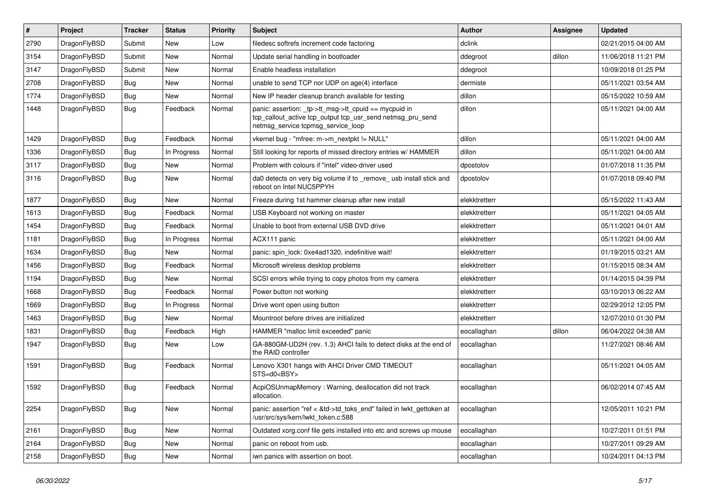| $\vert$ # | Project      | <b>Tracker</b> | <b>Status</b> | <b>Priority</b> | <b>Subject</b>                                                                                                                                            | Author        | <b>Assignee</b> | <b>Updated</b>      |
|-----------|--------------|----------------|---------------|-----------------|-----------------------------------------------------------------------------------------------------------------------------------------------------------|---------------|-----------------|---------------------|
| 2790      | DragonFlyBSD | Submit         | <b>New</b>    | Low             | filedesc softrefs increment code factoring                                                                                                                | dclink        |                 | 02/21/2015 04:00 AM |
| 3154      | DragonFlyBSD | Submit         | <b>New</b>    | Normal          | Update serial handling in bootloader                                                                                                                      | ddegroot      | dillon          | 11/06/2018 11:21 PM |
| 3147      | DragonFlyBSD | Submit         | <b>New</b>    | Normal          | Enable headless installation                                                                                                                              | ddegroot      |                 | 10/09/2018 01:25 PM |
| 2708      | DragonFlyBSD | Bug            | <b>New</b>    | Normal          | unable to send TCP nor UDP on age(4) interface                                                                                                            | dermiste      |                 | 05/11/2021 03:54 AM |
| 1774      | DragonFlyBSD | <b>Bug</b>     | <b>New</b>    | Normal          | New IP header cleanup branch available for testing                                                                                                        | dillon        |                 | 05/15/2022 10:59 AM |
| 1448      | DragonFlyBSD | Bug            | Feedback      | Normal          | panic: assertion: _tp->tt_msg->tt_cpuid == mycpuid in<br>tcp_callout_active tcp_output tcp_usr_send netmsg_pru_send<br>netmsg service tcpmsg service loop | dillon        |                 | 05/11/2021 04:00 AM |
| 1429      | DragonFlyBSD | Bug            | Feedback      | Normal          | vkernel bug - "mfree: m->m_nextpkt != NULL"                                                                                                               | dillon        |                 | 05/11/2021 04:00 AM |
| 1336      | DragonFlyBSD | Bug            | In Progress   | Normal          | Still looking for reports of missed directory entries w/ HAMMER                                                                                           | dillon        |                 | 05/11/2021 04:00 AM |
| 3117      | DragonFlyBSD | <b>Bug</b>     | <b>New</b>    | Normal          | Problem with colours if "intel" video-driver used                                                                                                         | dpostolov     |                 | 01/07/2018 11:35 PM |
| 3116      | DragonFlyBSD | Bug            | <b>New</b>    | Normal          | da0 detects on very big volume if to _remove_ usb install stick and<br>reboot on Intel NUC5PPYH                                                           | dpostolov     |                 | 01/07/2018 09:40 PM |
| 1877      | DragonFlyBSD | Bug            | New           | Normal          | Freeze during 1st hammer cleanup after new install                                                                                                        | elekktretterr |                 | 05/15/2022 11:43 AM |
| 1613      | DragonFlyBSD | Bug            | Feedback      | Normal          | USB Keyboard not working on master                                                                                                                        | elekktretterr |                 | 05/11/2021 04:05 AM |
| 1454      | DragonFlyBSD | Bug            | Feedback      | Normal          | Unable to boot from external USB DVD drive                                                                                                                | elekktretterr |                 | 05/11/2021 04:01 AM |
| 1181      | DragonFlyBSD | <b>Bug</b>     | In Progress   | Normal          | ACX111 panic                                                                                                                                              | elekktretterr |                 | 05/11/2021 04:00 AM |
| 1634      | DragonFlyBSD | <b>Bug</b>     | <b>New</b>    | Normal          | panic: spin_lock: 0xe4ad1320, indefinitive wait!                                                                                                          | elekktretterr |                 | 01/19/2015 03:21 AM |
| 1456      | DragonFlyBSD | <b>Bug</b>     | Feedback      | Normal          | Microsoft wireless desktop problems                                                                                                                       | elekktretterr |                 | 01/15/2015 08:34 AM |
| 1194      | DragonFlyBSD | Bug            | New           | Normal          | SCSI errors while trying to copy photos from my camera                                                                                                    | elekktretterr |                 | 01/14/2015 04:39 PM |
| 1668      | DragonFlyBSD | <b>Bug</b>     | Feedback      | Normal          | Power button not working                                                                                                                                  | elekktretterr |                 | 03/10/2013 06:22 AM |
| 1669      | DragonFlyBSD | <b>Bug</b>     | In Progress   | Normal          | Drive wont open using button                                                                                                                              | elekktretterr |                 | 02/29/2012 12:05 PM |
| 1463      | DragonFlyBSD | <b>Bug</b>     | <b>New</b>    | Normal          | Mountroot before drives are initialized                                                                                                                   | elekktretterr |                 | 12/07/2010 01:30 PM |
| 1831      | DragonFlyBSD | <b>Bug</b>     | Feedback      | High            | HAMMER "malloc limit exceeded" panic                                                                                                                      | eocallaghan   | dillon          | 06/04/2022 04:38 AM |
| 1947      | DragonFlyBSD | <b>Bug</b>     | New           | Low             | GA-880GM-UD2H (rev. 1.3) AHCI fails to detect disks at the end of<br>the RAID controller                                                                  | eocallaghan   |                 | 11/27/2021 08:46 AM |
| 1591      | DragonFlyBSD | Bug            | Feedback      | Normal          | Lenovo X301 hangs with AHCI Driver CMD TIMEOUT<br>STS=d0 <bsy></bsy>                                                                                      | eocallaghan   |                 | 05/11/2021 04:05 AM |
| 1592      | DragonFlyBSD | <b>Bug</b>     | Feedback      | Normal          | AcpiOSUnmapMemory: Warning, deallocation did not track<br>allocation.                                                                                     | eocallaghan   |                 | 06/02/2014 07:45 AM |
| 2254      | DragonFlyBSD | Bug            | New           | Normal          | panic: assertion "ref < &td->td_toks_end" failed in lwkt_gettoken at<br>/usr/src/sys/kern/lwkt_token.c:588                                                | eocallaghan   |                 | 12/05/2011 10:21 PM |
| 2161      | DragonFlyBSD | <b>Bug</b>     | New           | Normal          | Outdated xorg.conf file gets installed into etc and screws up mouse                                                                                       | eocallaghan   |                 | 10/27/2011 01:51 PM |
| 2164      | DragonFlyBSD | Bug            | New           | Normal          | panic on reboot from usb.                                                                                                                                 | eocallaghan   |                 | 10/27/2011 09:29 AM |
| 2158      | DragonFlyBSD | <b>Bug</b>     | New           | Normal          | iwn panics with assertion on boot.                                                                                                                        | eocallaghan   |                 | 10/24/2011 04:13 PM |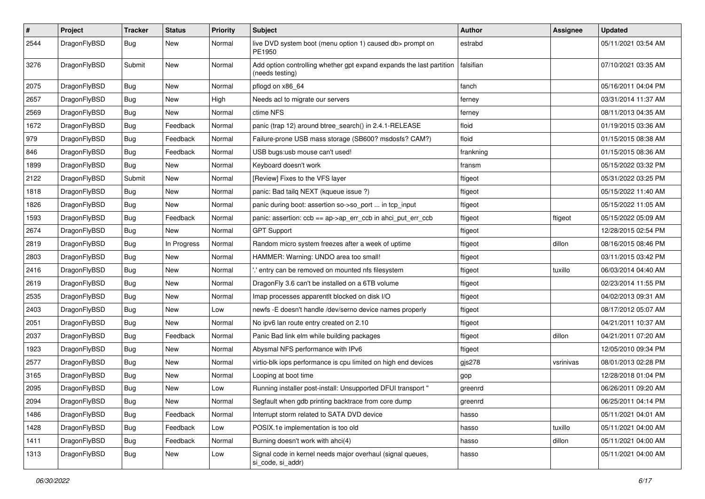| $\pmb{\#}$ | Project      | <b>Tracker</b> | <b>Status</b> | <b>Priority</b> | <b>Subject</b>                                                                          | Author    | <b>Assignee</b> | <b>Updated</b>      |
|------------|--------------|----------------|---------------|-----------------|-----------------------------------------------------------------------------------------|-----------|-----------------|---------------------|
| 2544       | DragonFlyBSD | Bug            | New           | Normal          | live DVD system boot (menu option 1) caused db> prompt on<br>PE1950                     | estrabd   |                 | 05/11/2021 03:54 AM |
| 3276       | DragonFlyBSD | Submit         | New           | Normal          | Add option controlling whether gpt expand expands the last partition<br>(needs testing) | falsifian |                 | 07/10/2021 03:35 AM |
| 2075       | DragonFlyBSD | Bug            | <b>New</b>    | Normal          | pflogd on x86_64                                                                        | fanch     |                 | 05/16/2011 04:04 PM |
| 2657       | DragonFlyBSD | Bug            | New           | High            | Needs acl to migrate our servers                                                        | ferney    |                 | 03/31/2014 11:37 AM |
| 2569       | DragonFlyBSD | Bug            | New           | Normal          | ctime NFS                                                                               | ferney    |                 | 08/11/2013 04:35 AM |
| 1672       | DragonFlyBSD | Bug            | Feedback      | Normal          | panic (trap 12) around btree search() in 2.4.1-RELEASE                                  | floid     |                 | 01/19/2015 03:36 AM |
| 979        | DragonFlyBSD | Bug            | Feedback      | Normal          | Failure-prone USB mass storage (SB600? msdosfs? CAM?)                                   | floid     |                 | 01/15/2015 08:38 AM |
| 846        | DragonFlyBSD | Bug            | Feedback      | Normal          | USB bugs:usb mouse can't used!                                                          | frankning |                 | 01/15/2015 08:36 AM |
| 1899       | DragonFlyBSD | <b>Bug</b>     | New           | Normal          | Keyboard doesn't work                                                                   | fransm    |                 | 05/15/2022 03:32 PM |
| 2122       | DragonFlyBSD | Submit         | <b>New</b>    | Normal          | [Review] Fixes to the VFS layer                                                         | ftigeot   |                 | 05/31/2022 03:25 PM |
| 1818       | DragonFlyBSD | Bug            | New           | Normal          | panic: Bad tailq NEXT (kqueue issue ?)                                                  | ftigeot   |                 | 05/15/2022 11:40 AM |
| 1826       | DragonFlyBSD | <b>Bug</b>     | <b>New</b>    | Normal          | panic during boot: assertion so->so_port  in tcp_input                                  | ftigeot   |                 | 05/15/2022 11:05 AM |
| 1593       | DragonFlyBSD | Bug            | Feedback      | Normal          | panic: assertion: ccb == ap->ap_err_ccb in ahci_put_err_ccb                             | ftigeot   | ftigeot         | 05/15/2022 05:09 AM |
| 2674       | DragonFlyBSD | Bug            | New           | Normal          | <b>GPT Support</b>                                                                      | ftigeot   |                 | 12/28/2015 02:54 PM |
| 2819       | DragonFlyBSD | <b>Bug</b>     | In Progress   | Normal          | Random micro system freezes after a week of uptime                                      | ftigeot   | dillon          | 08/16/2015 08:46 PM |
| 2803       | DragonFlyBSD | Bug            | <b>New</b>    | Normal          | HAMMER: Warning: UNDO area too small!                                                   | ftigeot   |                 | 03/11/2015 03:42 PM |
| 2416       | DragonFlyBSD | <b>Bug</b>     | New           | Normal          | ".' entry can be removed on mounted nfs filesystem                                      | ftigeot   | tuxillo         | 06/03/2014 04:40 AM |
| 2619       | DragonFlyBSD | Bug            | New           | Normal          | DragonFly 3.6 can't be installed on a 6TB volume                                        | ftigeot   |                 | 02/23/2014 11:55 PM |
| 2535       | DragonFlyBSD | Bug            | New           | Normal          | Imap processes apparentlt blocked on disk I/O                                           | ftigeot   |                 | 04/02/2013 09:31 AM |
| 2403       | DragonFlyBSD | <b>Bug</b>     | New           | Low             | newfs -E doesn't handle /dev/serno device names properly                                | ftigeot   |                 | 08/17/2012 05:07 AM |
| 2051       | DragonFlyBSD | Bug            | <b>New</b>    | Normal          | No ipv6 lan route entry created on 2.10                                                 | ftigeot   |                 | 04/21/2011 10:37 AM |
| 2037       | DragonFlyBSD | <b>Bug</b>     | Feedback      | Normal          | Panic Bad link elm while building packages                                              | ftigeot   | dillon          | 04/21/2011 07:20 AM |
| 1923       | DragonFlyBSD | Bug            | New           | Normal          | Abysmal NFS performance with IPv6                                                       | ftigeot   |                 | 12/05/2010 09:34 PM |
| 2577       | DragonFlyBSD | Bug            | New           | Normal          | virtio-blk iops performance is cpu limited on high end devices                          | gjs278    | vsrinivas       | 08/01/2013 02:28 PM |
| 3165       | DragonFlyBSD | Bug            | <b>New</b>    | Normal          | Looping at boot time                                                                    | gop       |                 | 12/28/2018 01:04 PM |
| 2095       | DragonFlyBSD | Bug            | <b>New</b>    | Low             | Running installer post-install: Unsupported DFUI transport "                            | greenrd   |                 | 06/26/2011 09:20 AM |
| 2094       | DragonFlyBSD | Bug            | New           | Normal          | Segfault when gdb printing backtrace from core dump                                     | greenrd   |                 | 06/25/2011 04:14 PM |
| 1486       | DragonFlyBSD | <b>Bug</b>     | Feedback      | Normal          | Interrupt storm related to SATA DVD device                                              | hasso     |                 | 05/11/2021 04:01 AM |
| 1428       | DragonFlyBSD | <b>Bug</b>     | Feedback      | Low             | POSIX.1e implementation is too old                                                      | hasso     | tuxillo         | 05/11/2021 04:00 AM |
| 1411       | DragonFlyBSD | Bug            | Feedback      | Normal          | Burning doesn't work with ahci(4)                                                       | hasso     | dillon          | 05/11/2021 04:00 AM |
| 1313       | DragonFlyBSD | <b>Bug</b>     | New           | Low             | Signal code in kernel needs major overhaul (signal queues,<br>si_code, si_addr)         | hasso     |                 | 05/11/2021 04:00 AM |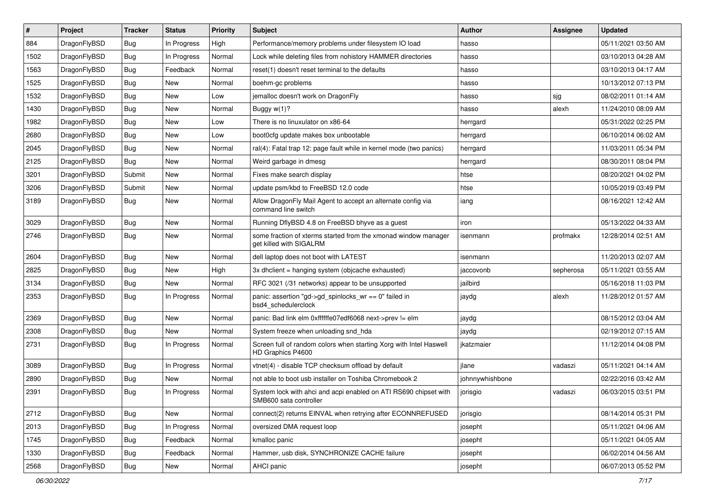| $\#$ | Project      | <b>Tracker</b> | <b>Status</b> | <b>Priority</b> | Subject                                                                                    | Author          | Assignee  | <b>Updated</b>      |
|------|--------------|----------------|---------------|-----------------|--------------------------------------------------------------------------------------------|-----------------|-----------|---------------------|
| 884  | DragonFlyBSD | <b>Bug</b>     | In Progress   | High            | Performance/memory problems under filesystem IO load                                       | hasso           |           | 05/11/2021 03:50 AM |
| 1502 | DragonFlyBSD | <b>Bug</b>     | In Progress   | Normal          | Lock while deleting files from nohistory HAMMER directories                                | hasso           |           | 03/10/2013 04:28 AM |
| 1563 | DragonFlyBSD | <b>Bug</b>     | Feedback      | Normal          | reset(1) doesn't reset terminal to the defaults                                            | hasso           |           | 03/10/2013 04:17 AM |
| 1525 | DragonFlyBSD | <b>Bug</b>     | New           | Normal          | boehm-gc problems                                                                          | hasso           |           | 10/13/2012 07:13 PM |
| 1532 | DragonFlyBSD | <b>Bug</b>     | <b>New</b>    | Low             | jemalloc doesn't work on DragonFly                                                         | hasso           | sjg       | 08/02/2011 01:14 AM |
| 1430 | DragonFlyBSD | <b>Bug</b>     | New           | Normal          | Buggy w(1)?                                                                                | hasso           | alexh     | 11/24/2010 08:09 AM |
| 1982 | DragonFlyBSD | <b>Bug</b>     | New           | Low             | There is no linuxulator on x86-64                                                          | herrgard        |           | 05/31/2022 02:25 PM |
| 2680 | DragonFlyBSD | <b>Bug</b>     | <b>New</b>    | Low             | boot0cfg update makes box unbootable                                                       | herrgard        |           | 06/10/2014 06:02 AM |
| 2045 | DragonFlyBSD | <b>Bug</b>     | New           | Normal          | ral(4): Fatal trap 12: page fault while in kernel mode (two panics)                        | herrgard        |           | 11/03/2011 05:34 PM |
| 2125 | DragonFlyBSD | <b>Bug</b>     | <b>New</b>    | Normal          | Weird garbage in dmesg                                                                     | herrgard        |           | 08/30/2011 08:04 PM |
| 3201 | DragonFlyBSD | Submit         | New           | Normal          | Fixes make search display                                                                  | htse            |           | 08/20/2021 04:02 PM |
| 3206 | DragonFlyBSD | Submit         | New           | Normal          | update psm/kbd to FreeBSD 12.0 code                                                        | htse            |           | 10/05/2019 03:49 PM |
| 3189 | DragonFlyBSD | Bug            | New           | Normal          | Allow DragonFly Mail Agent to accept an alternate config via<br>command line switch        | iang            |           | 08/16/2021 12:42 AM |
| 3029 | DragonFlyBSD | <b>Bug</b>     | New           | Normal          | Running DflyBSD 4.8 on FreeBSD bhyve as a guest                                            | iron            |           | 05/13/2022 04:33 AM |
| 2746 | DragonFlyBSD | <b>Bug</b>     | <b>New</b>    | Normal          | some fraction of xterms started from the xmonad window manager<br>get killed with SIGALRM  | isenmann        | profmakx  | 12/28/2014 02:51 AM |
| 2604 | DragonFlyBSD | <b>Bug</b>     | <b>New</b>    | Normal          | dell laptop does not boot with LATEST                                                      | isenmann        |           | 11/20/2013 02:07 AM |
| 2825 | DragonFlyBSD | <b>Bug</b>     | New           | High            | 3x dhclient = hanging system (objcache exhausted)                                          | jaccovonb       | sepherosa | 05/11/2021 03:55 AM |
| 3134 | DragonFlyBSD | <b>Bug</b>     | New           | Normal          | RFC 3021 (/31 networks) appear to be unsupported                                           | jailbird        |           | 05/16/2018 11:03 PM |
| 2353 | DragonFlyBSD | <b>Bug</b>     | In Progress   | Normal          | panic: assertion "gd->gd_spinlocks_wr == 0" failed in<br>bsd4_schedulerclock               | jaydg           | alexh     | 11/28/2012 01:57 AM |
| 2369 | DragonFlyBSD | Bug            | New           | Normal          | panic: Bad link elm 0xffffffe07edf6068 next->prev != elm                                   | jaydg           |           | 08/15/2012 03:04 AM |
| 2308 | DragonFlyBSD | Bug            | New           | Normal          | System freeze when unloading snd_hda                                                       | jaydg           |           | 02/19/2012 07:15 AM |
| 2731 | DragonFlyBSD | Bug            | In Progress   | Normal          | Screen full of random colors when starting Xorg with Intel Haswell<br>HD Graphics P4600    | jkatzmaier      |           | 11/12/2014 04:08 PM |
| 3089 | DragonFlyBSD | Bug            | In Progress   | Normal          | vtnet(4) - disable TCP checksum offload by default                                         | jlane           | vadaszi   | 05/11/2021 04:14 AM |
| 2890 | DragonFlyBSD | Bug            | New           | Normal          | not able to boot usb installer on Toshiba Chromebook 2                                     | johnnywhishbone |           | 02/22/2016 03:42 AM |
| 2391 | DragonFlyBSD | Bug            | In Progress   | Normal          | System lock with ahci and acpi enabled on ATI RS690 chipset with<br>SMB600 sata controller | jorisgio        | vadaszi   | 06/03/2015 03:51 PM |
| 2712 | DragonFlyBSD | Bug            | New           | Normal          | connect(2) returns EINVAL when retrying after ECONNREFUSED                                 | jorisgio        |           | 08/14/2014 05:31 PM |
| 2013 | DragonFlyBSD | <b>Bug</b>     | In Progress   | Normal          | oversized DMA request loop                                                                 | josepht         |           | 05/11/2021 04:06 AM |
| 1745 | DragonFlyBSD | <b>Bug</b>     | Feedback      | Normal          | kmalloc panic                                                                              | josepht         |           | 05/11/2021 04:05 AM |
| 1330 | DragonFlyBSD | <b>Bug</b>     | Feedback      | Normal          | Hammer, usb disk, SYNCHRONIZE CACHE failure                                                | josepht         |           | 06/02/2014 04:56 AM |
| 2568 | DragonFlyBSD | <b>Bug</b>     | New           | Normal          | AHCI panic                                                                                 | josepht         |           | 06/07/2013 05:52 PM |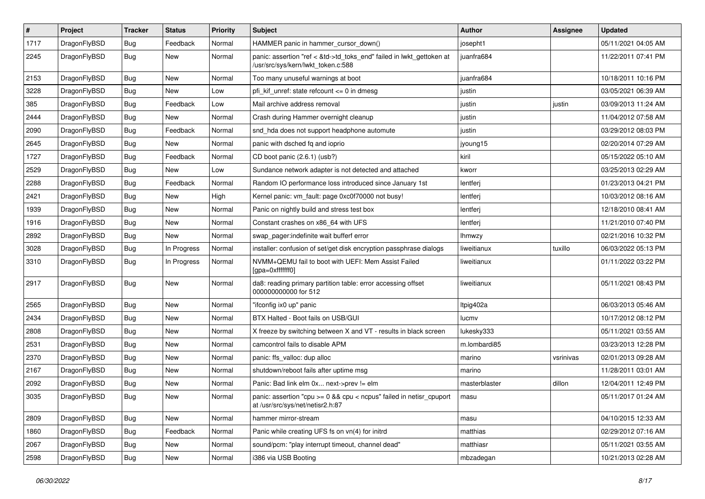| $\sharp$ | Project      | <b>Tracker</b> | <b>Status</b> | <b>Priority</b> | Subject                                                                                                    | <b>Author</b> | Assignee  | <b>Updated</b>      |
|----------|--------------|----------------|---------------|-----------------|------------------------------------------------------------------------------------------------------------|---------------|-----------|---------------------|
| 1717     | DragonFlyBSD | Bug            | Feedback      | Normal          | HAMMER panic in hammer_cursor_down()                                                                       | josepht1      |           | 05/11/2021 04:05 AM |
| 2245     | DragonFlyBSD | <b>Bug</b>     | New           | Normal          | panic: assertion "ref < &td->td_toks_end" failed in lwkt_gettoken at<br>/usr/src/sys/kern/lwkt token.c:588 | juanfra684    |           | 11/22/2011 07:41 PM |
| 2153     | DragonFlyBSD | Bug            | New           | Normal          | Too many unuseful warnings at boot                                                                         | juanfra684    |           | 10/18/2011 10:16 PM |
| 3228     | DragonFlyBSD | Bug            | New           | Low             | pfi kif unref: state refcount $\leq$ 0 in dmesg                                                            | justin        |           | 03/05/2021 06:39 AM |
| 385      | DragonFlyBSD | Bug            | Feedback      | Low             | Mail archive address removal                                                                               | justin        | justin    | 03/09/2013 11:24 AM |
| 2444     | DragonFlyBSD | <b>Bug</b>     | New           | Normal          | Crash during Hammer overnight cleanup                                                                      | justin        |           | 11/04/2012 07:58 AM |
| 2090     | DragonFlyBSD | <b>Bug</b>     | Feedback      | Normal          | snd_hda does not support headphone automute                                                                | justin        |           | 03/29/2012 08:03 PM |
| 2645     | DragonFlyBSD | <b>Bug</b>     | New           | Normal          | panic with dsched fq and ioprio                                                                            | jyoung15      |           | 02/20/2014 07:29 AM |
| 1727     | DragonFlyBSD | Bug            | Feedback      | Normal          | CD boot panic (2.6.1) (usb?)                                                                               | kiril         |           | 05/15/2022 05:10 AM |
| 2529     | DragonFlyBSD | <b>Bug</b>     | New           | Low             | Sundance network adapter is not detected and attached                                                      | kworr         |           | 03/25/2013 02:29 AM |
| 2288     | DragonFlyBSD | Bug            | Feedback      | Normal          | Random IO performance loss introduced since January 1st                                                    | lentferj      |           | 01/23/2013 04:21 PM |
| 2421     | DragonFlyBSD | <b>Bug</b>     | New           | High            | Kernel panic: vm fault: page 0xc0f70000 not busy!                                                          | lentferj      |           | 10/03/2012 08:16 AM |
| 1939     | DragonFlyBSD | <b>Bug</b>     | New           | Normal          | Panic on nightly build and stress test box                                                                 | lentferj      |           | 12/18/2010 08:41 AM |
| 1916     | DragonFlyBSD | Bug            | New           | Normal          | Constant crashes on x86_64 with UFS                                                                        | lentferj      |           | 11/21/2010 07:40 PM |
| 2892     | DragonFlyBSD | Bug            | New           | Normal          | swap_pager:indefinite wait bufferf error                                                                   | lhmwzy        |           | 02/21/2016 10:32 PM |
| 3028     | DragonFlyBSD | Bug            | In Progress   | Normal          | installer: confusion of set/get disk encryption passphrase dialogs                                         | liweitianux   | tuxillo   | 06/03/2022 05:13 PM |
| 3310     | DragonFlyBSD | Bug            | In Progress   | Normal          | NVMM+QEMU fail to boot with UEFI: Mem Assist Failed<br>[gpa=0xfffffff0]                                    | liweitianux   |           | 01/11/2022 03:22 PM |
| 2917     | DragonFlyBSD | Bug            | New           | Normal          | da8: reading primary partition table: error accessing offset<br>000000000000 for 512                       | liweitianux   |           | 05/11/2021 08:43 PM |
| 2565     | DragonFlyBSD | Bug            | New           | Normal          | "ifconfig ix0 up" panic                                                                                    | Itpig402a     |           | 06/03/2013 05:46 AM |
| 2434     | DragonFlyBSD | Bug            | New           | Normal          | BTX Halted - Boot fails on USB/GUI                                                                         | lucmv         |           | 10/17/2012 08:12 PM |
| 2808     | DragonFlyBSD | Bug            | New           | Normal          | X freeze by switching between X and VT - results in black screen                                           | lukesky333    |           | 05/11/2021 03:55 AM |
| 2531     | DragonFlyBSD | Bug            | New           | Normal          | camcontrol fails to disable APM                                                                            | m.lombardi85  |           | 03/23/2013 12:28 PM |
| 2370     | DragonFlyBSD | Bug            | New           | Normal          | panic: ffs_valloc: dup alloc                                                                               | marino        | vsrinivas | 02/01/2013 09:28 AM |
| 2167     | DragonFlyBSD | Bug            | <b>New</b>    | Normal          | shutdown/reboot fails after uptime msg                                                                     | marino        |           | 11/28/2011 03:01 AM |
| 2092     | DragonFlyBSD | Bug            | New           | Normal          | Panic: Bad link elm 0x next->prev != elm                                                                   | masterblaster | dillon    | 12/04/2011 12:49 PM |
| 3035     | DragonFlyBSD | i Bug          | New           | Normal          | panic: assertion "cpu >= 0 && cpu < ncpus" failed in netisr_cpuport<br>at /usr/src/sys/net/netisr2.h:87    | masu          |           | 05/11/2017 01:24 AM |
| 2809     | DragonFlyBSD | <b>Bug</b>     | New           | Normal          | hammer mirror-stream                                                                                       | masu          |           | 04/10/2015 12:33 AM |
| 1860     | DragonFlyBSD | <b>Bug</b>     | Feedback      | Normal          | Panic while creating UFS fs on vn(4) for initrd                                                            | matthias      |           | 02/29/2012 07:16 AM |
| 2067     | DragonFlyBSD | <b>Bug</b>     | <b>New</b>    | Normal          | sound/pcm: "play interrupt timeout, channel dead"                                                          | matthiasr     |           | 05/11/2021 03:55 AM |
| 2598     | DragonFlyBSD | <b>Bug</b>     | New           | Normal          | i386 via USB Booting                                                                                       | mbzadegan     |           | 10/21/2013 02:28 AM |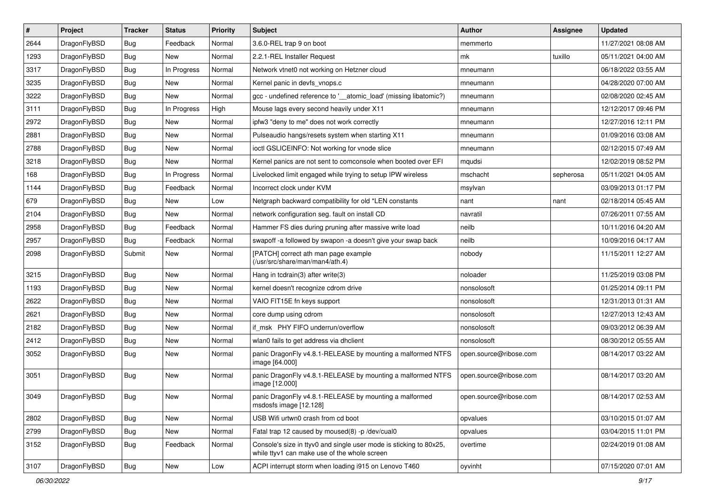| #    | Project      | <b>Tracker</b> | <b>Status</b> | <b>Priority</b> | Subject                                                                                                            | <b>Author</b>          | Assignee  | <b>Updated</b>      |
|------|--------------|----------------|---------------|-----------------|--------------------------------------------------------------------------------------------------------------------|------------------------|-----------|---------------------|
| 2644 | DragonFlyBSD | Bug            | Feedback      | Normal          | 3.6.0-REL trap 9 on boot                                                                                           | memmerto               |           | 11/27/2021 08:08 AM |
| 1293 | DragonFlyBSD | Bug            | <b>New</b>    | Normal          | 2.2.1-REL Installer Request                                                                                        | mk                     | tuxillo   | 05/11/2021 04:00 AM |
| 3317 | DragonFlyBSD | Bug            | In Progress   | Normal          | Network vtnet0 not working on Hetzner cloud                                                                        | mneumann               |           | 06/18/2022 03:55 AM |
| 3235 | DragonFlyBSD | Bug            | New           | Normal          | Kernel panic in devfs_vnops.c                                                                                      | mneumann               |           | 04/28/2020 07:00 AM |
| 3222 | DragonFlyBSD | Bug            | <b>New</b>    | Normal          | gcc - undefined reference to '__atomic_load' (missing libatomic?)                                                  | mneumann               |           | 02/08/2020 02:45 AM |
| 3111 | DragonFlyBSD | Bug            | In Progress   | High            | Mouse lags every second heavily under X11                                                                          | mneumann               |           | 12/12/2017 09:46 PM |
| 2972 | DragonFlyBSD | Bug            | New           | Normal          | ipfw3 "deny to me" does not work correctly                                                                         | mneumann               |           | 12/27/2016 12:11 PM |
| 2881 | DragonFlyBSD | <b>Bug</b>     | <b>New</b>    | Normal          | Pulseaudio hangs/resets system when starting X11                                                                   | mneumann               |           | 01/09/2016 03:08 AM |
| 2788 | DragonFlyBSD | <b>Bug</b>     | New           | Normal          | ioctl GSLICEINFO: Not working for vnode slice                                                                      | mneumann               |           | 02/12/2015 07:49 AM |
| 3218 | DragonFlyBSD | Bug            | New           | Normal          | Kernel panics are not sent to comconsole when booted over EFI                                                      | mqudsi                 |           | 12/02/2019 08:52 PM |
| 168  | DragonFlyBSD | <b>Bug</b>     | In Progress   | Normal          | Livelocked limit engaged while trying to setup IPW wireless                                                        | mschacht               | sepherosa | 05/11/2021 04:05 AM |
| 1144 | DragonFlyBSD | <b>Bug</b>     | Feedback      | Normal          | Incorrect clock under KVM                                                                                          | msylvan                |           | 03/09/2013 01:17 PM |
| 679  | DragonFlyBSD | <b>Bug</b>     | New           | Low             | Netgraph backward compatibility for old *LEN constants                                                             | nant                   | nant      | 02/18/2014 05:45 AM |
| 2104 | DragonFlyBSD | <b>Bug</b>     | New           | Normal          | network configuration seg. fault on install CD                                                                     | navratil               |           | 07/26/2011 07:55 AM |
| 2958 | DragonFlyBSD | Bug            | Feedback      | Normal          | Hammer FS dies during pruning after massive write load                                                             | neilb                  |           | 10/11/2016 04:20 AM |
| 2957 | DragonFlyBSD | <b>Bug</b>     | Feedback      | Normal          | swapoff -a followed by swapon -a doesn't give your swap back                                                       | neilb                  |           | 10/09/2016 04:17 AM |
| 2098 | DragonFlyBSD | Submit         | New           | Normal          | [PATCH] correct ath man page example<br>(/usr/src/share/man/man4/ath.4)                                            | nobody                 |           | 11/15/2011 12:27 AM |
| 3215 | DragonFlyBSD | Bug            | New           | Normal          | Hang in tcdrain(3) after write(3)                                                                                  | noloader               |           | 11/25/2019 03:08 PM |
| 1193 | DragonFlyBSD | <b>Bug</b>     | New           | Normal          | kernel doesn't recognize cdrom drive                                                                               | nonsolosoft            |           | 01/25/2014 09:11 PM |
| 2622 | DragonFlyBSD | <b>Bug</b>     | New           | Normal          | VAIO FIT15E fn keys support                                                                                        | nonsolosoft            |           | 12/31/2013 01:31 AM |
| 2621 | DragonFlyBSD | <b>Bug</b>     | <b>New</b>    | Normal          | core dump using cdrom                                                                                              | nonsolosoft            |           | 12/27/2013 12:43 AM |
| 2182 | DragonFlyBSD | Bug            | New           | Normal          | if_msk PHY FIFO underrun/overflow                                                                                  | nonsolosoft            |           | 09/03/2012 06:39 AM |
| 2412 | DragonFlyBSD | Bug            | New           | Normal          | wlan0 fails to get address via dhclient                                                                            | nonsolosoft            |           | 08/30/2012 05:55 AM |
| 3052 | DragonFlyBSD | <b>Bug</b>     | New           | Normal          | panic DragonFly v4.8.1-RELEASE by mounting a malformed NTFS<br>image [64.000]                                      | open.source@ribose.com |           | 08/14/2017 03:22 AM |
| 3051 | DragonFlyBSD | Bug            | New           | Normal          | panic DragonFly v4.8.1-RELEASE by mounting a malformed NTFS<br>image [12.000]                                      | open.source@ribose.com |           | 08/14/2017 03:20 AM |
| 3049 | DragonFlyBSD | Bug            | New           | Normal          | panic DragonFly v4.8.1-RELEASE by mounting a malformed<br>msdosfs image [12.128]                                   | open.source@ribose.com |           | 08/14/2017 02:53 AM |
| 2802 | DragonFlyBSD | <b>Bug</b>     | New           | Normal          | USB Wifi urtwn0 crash from cd boot                                                                                 | opvalues               |           | 03/10/2015 01:07 AM |
| 2799 | DragonFlyBSD | <b>Bug</b>     | New           | Normal          | Fatal trap 12 caused by moused(8) -p /dev/cual0                                                                    | opvalues               |           | 03/04/2015 11:01 PM |
| 3152 | DragonFlyBSD | <b>Bug</b>     | Feedback      | Normal          | Console's size in ttyv0 and single user mode is sticking to 80x25,<br>while ttyv1 can make use of the whole screen | overtime               |           | 02/24/2019 01:08 AM |
| 3107 | DragonFlyBSD | Bug            | New           | Low             | ACPI interrupt storm when loading i915 on Lenovo T460                                                              | oyvinht                |           | 07/15/2020 07:01 AM |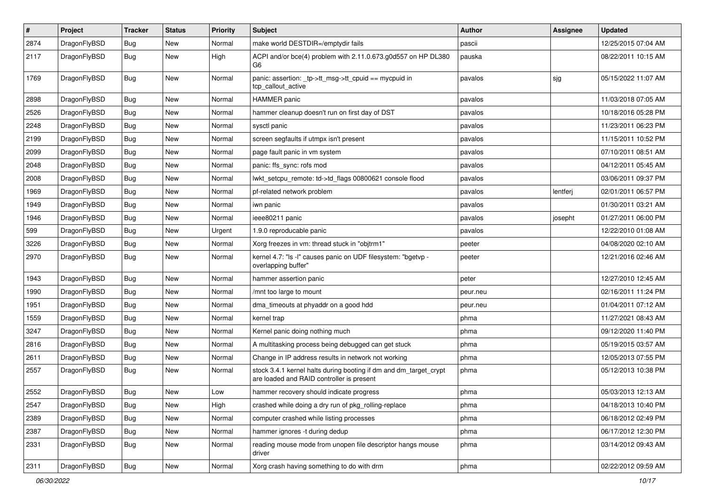| $\pmb{\#}$ | Project      | <b>Tracker</b> | <b>Status</b> | <b>Priority</b> | Subject                                                                                                        | <b>Author</b> | Assignee | <b>Updated</b>      |
|------------|--------------|----------------|---------------|-----------------|----------------------------------------------------------------------------------------------------------------|---------------|----------|---------------------|
| 2874       | DragonFlyBSD | Bug            | New           | Normal          | make world DESTDIR=/emptydir fails                                                                             | pascii        |          | 12/25/2015 07:04 AM |
| 2117       | DragonFlyBSD | Bug            | <b>New</b>    | High            | ACPI and/or bce(4) problem with 2.11.0.673.g0d557 on HP DL380<br>G6                                            | pauska        |          | 08/22/2011 10:15 AM |
| 1769       | DragonFlyBSD | Bug            | New           | Normal          | panic: assertion: tp->tt_msg->tt_cpuid == mycpuid in<br>tcp callout active                                     | pavalos       | sjg      | 05/15/2022 11:07 AM |
| 2898       | DragonFlyBSD | <b>Bug</b>     | <b>New</b>    | Normal          | <b>HAMMER</b> panic                                                                                            | pavalos       |          | 11/03/2018 07:05 AM |
| 2526       | DragonFlyBSD | <b>Bug</b>     | New           | Normal          | hammer cleanup doesn't run on first day of DST                                                                 | pavalos       |          | 10/18/2016 05:28 PM |
| 2248       | DragonFlyBSD | <b>Bug</b>     | <b>New</b>    | Normal          | sysctl panic                                                                                                   | pavalos       |          | 11/23/2011 06:23 PM |
| 2199       | DragonFlyBSD | <b>Bug</b>     | New           | Normal          | screen segfaults if utmpx isn't present                                                                        | pavalos       |          | 11/15/2011 10:52 PM |
| 2099       | DragonFlyBSD | Bug            | <b>New</b>    | Normal          | page fault panic in vm system                                                                                  | pavalos       |          | 07/10/2011 08:51 AM |
| 2048       | DragonFlyBSD | <b>Bug</b>     | New           | Normal          | panic: ffs_sync: rofs mod                                                                                      | pavalos       |          | 04/12/2011 05:45 AM |
| 2008       | DragonFlyBSD | Bug            | New           | Normal          | lwkt_setcpu_remote: td->td_flags 00800621 console flood                                                        | pavalos       |          | 03/06/2011 09:37 PM |
| 1969       | DragonFlyBSD | <b>Bug</b>     | <b>New</b>    | Normal          | pf-related network problem                                                                                     | pavalos       | lentferj | 02/01/2011 06:57 PM |
| 1949       | DragonFlyBSD | <b>Bug</b>     | New           | Normal          | iwn panic                                                                                                      | pavalos       |          | 01/30/2011 03:21 AM |
| 1946       | DragonFlyBSD | Bug            | <b>New</b>    | Normal          | ieee80211 panic                                                                                                | pavalos       | josepht  | 01/27/2011 06:00 PM |
| 599        | DragonFlyBSD | <b>Bug</b>     | New           | Urgent          | 1.9.0 reproducable panic                                                                                       | pavalos       |          | 12/22/2010 01:08 AM |
| 3226       | DragonFlyBSD | Bug            | <b>New</b>    | Normal          | Xorg freezes in vm: thread stuck in "objtrm1"                                                                  | peeter        |          | 04/08/2020 02:10 AM |
| 2970       | DragonFlyBSD | Bug            | New           | Normal          | kernel 4.7: "Is -I" causes panic on UDF filesystem: "bgetvp -<br>overlapping buffer"                           | peeter        |          | 12/21/2016 02:46 AM |
| 1943       | DragonFlyBSD | Bug            | <b>New</b>    | Normal          | hammer assertion panic                                                                                         | peter         |          | 12/27/2010 12:45 AM |
| 1990       | DragonFlyBSD | <b>Bug</b>     | <b>New</b>    | Normal          | /mnt too large to mount                                                                                        | peur.neu      |          | 02/16/2011 11:24 PM |
| 1951       | DragonFlyBSD | Bug            | <b>New</b>    | Normal          | dma_timeouts at phyaddr on a good hdd                                                                          | peur.neu      |          | 01/04/2011 07:12 AM |
| 1559       | DragonFlyBSD | Bug            | <b>New</b>    | Normal          | kernel trap                                                                                                    | phma          |          | 11/27/2021 08:43 AM |
| 3247       | DragonFlyBSD | Bug            | <b>New</b>    | Normal          | Kernel panic doing nothing much                                                                                | phma          |          | 09/12/2020 11:40 PM |
| 2816       | DragonFlyBSD | <b>Bug</b>     | New           | Normal          | A multitasking process being debugged can get stuck                                                            | phma          |          | 05/19/2015 03:57 AM |
| 2611       | DragonFlyBSD | <b>Bug</b>     | <b>New</b>    | Normal          | Change in IP address results in network not working                                                            | phma          |          | 12/05/2013 07:55 PM |
| 2557       | DragonFlyBSD | Bug            | New           | Normal          | stock 3.4.1 kernel halts during booting if dm and dm_target_crypt<br>are loaded and RAID controller is present | phma          |          | 05/12/2013 10:38 PM |
| 2552       | DragonFlyBSD | Bug            | New           | Low             | hammer recovery should indicate progress                                                                       | phma          |          | 05/03/2013 12:13 AM |
| 2547       | DragonFlyBSD | <b>Bug</b>     | New           | High            | crashed while doing a dry run of pkg_rolling-replace                                                           | phma          |          | 04/18/2013 10:40 PM |
| 2389       | DragonFlyBSD | Bug            | New           | Normal          | computer crashed while listing processes                                                                       | phma          |          | 06/18/2012 02:49 PM |
| 2387       | DragonFlyBSD | <b>Bug</b>     | New           | Normal          | hammer ignores -t during dedup                                                                                 | phma          |          | 06/17/2012 12:30 PM |
| 2331       | DragonFlyBSD | Bug            | New           | Normal          | reading mouse mode from unopen file descriptor hangs mouse<br>driver                                           | phma          |          | 03/14/2012 09:43 AM |
| 2311       | DragonFlyBSD | Bug            | New           | Normal          | Xorg crash having something to do with drm                                                                     | phma          |          | 02/22/2012 09:59 AM |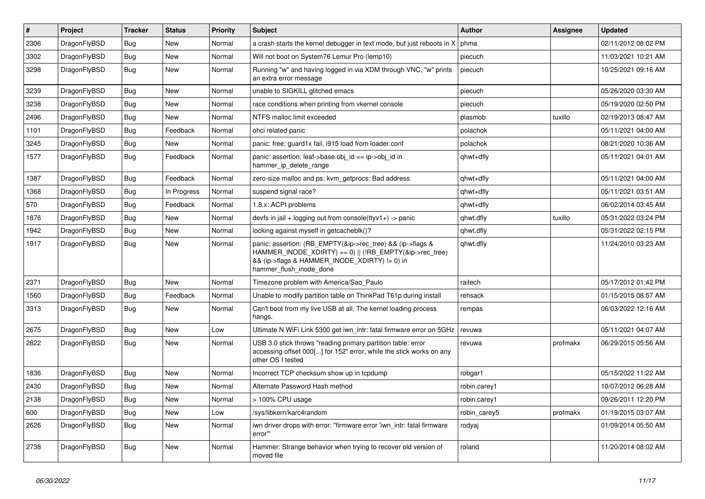| $\pmb{\#}$ | Project      | <b>Tracker</b> | <b>Status</b> | <b>Priority</b> | Subject                                                                                                                                                                                           | <b>Author</b> | Assignee | <b>Updated</b>      |
|------------|--------------|----------------|---------------|-----------------|---------------------------------------------------------------------------------------------------------------------------------------------------------------------------------------------------|---------------|----------|---------------------|
| 2306       | DragonFlyBSD | Bug            | New           | Normal          | a crash starts the kernel debugger in text mode, but just reboots in X                                                                                                                            | phma          |          | 02/11/2012 08:02 PM |
| 3302       | DragonFlyBSD | Bug            | New           | Normal          | Will not boot on System76 Lemur Pro (lemp10)                                                                                                                                                      | piecuch       |          | 11/03/2021 10:21 AM |
| 3298       | DragonFlyBSD | Bug            | New           | Normal          | Running "w" and having logged in via XDM through VNC, "w" prints<br>an extra error message                                                                                                        | piecuch       |          | 10/25/2021 09:16 AM |
| 3239       | DragonFlyBSD | Bug            | <b>New</b>    | Normal          | unable to SIGKILL glitched emacs                                                                                                                                                                  | piecuch       |          | 05/26/2020 03:30 AM |
| 3238       | DragonFlyBSD | Bug            | New           | Normal          | race conditions when printing from vkernel console                                                                                                                                                | piecuch       |          | 05/19/2020 02:50 PM |
| 2496       | DragonFlyBSD | Bug            | New           | Normal          | NTFS malloc limit exceeded                                                                                                                                                                        | plasmob       | tuxillo  | 02/19/2013 08:47 AM |
| 1101       | DragonFlyBSD | Bug            | Feedback      | Normal          | ohci related panic                                                                                                                                                                                | polachok      |          | 05/11/2021 04:00 AM |
| 3245       | DragonFlyBSD | Bug            | New           | Normal          | panic: free: guard1x fail, i915 load from loader.conf                                                                                                                                             | polachok      |          | 08/21/2020 10:36 AM |
| 1577       | DragonFlyBSD | Bug            | Feedback      | Normal          | panic: assertion: leaf->base.obj_id == ip->obj_id in<br>hammer_ip_delete_range                                                                                                                    | qhwt+dfly     |          | 05/11/2021 04:01 AM |
| 1387       | DragonFlyBSD | Bug            | Feedback      | Normal          | zero-size malloc and ps: kvm_getprocs: Bad address                                                                                                                                                | qhwt+dfly     |          | 05/11/2021 04:00 AM |
| 1368       | DragonFlyBSD | Bug            | In Progress   | Normal          | suspend signal race?                                                                                                                                                                              | qhwt+dfly     |          | 05/11/2021 03:51 AM |
| 570        | DragonFlyBSD | Bug            | Feedback      | Normal          | 1.8.x: ACPI problems                                                                                                                                                                              | qhwt+dfly     |          | 06/02/2014 03:45 AM |
| 1876       | DragonFlyBSD | Bug            | New           | Normal          | devfs in jail + logging out from console(ttyv1+) -> panic                                                                                                                                         | qhwt.dfly     | tuxillo  | 05/31/2022 03:24 PM |
| 1942       | DragonFlyBSD | Bug            | New           | Normal          | locking against myself in getcacheblk()?                                                                                                                                                          | qhwt.dfly     |          | 05/31/2022 02:15 PM |
| 1917       | DragonFlyBSD | Bug            | New           | Normal          | panic: assertion: (RB_EMPTY(&ip->rec_tree) && (ip->flags &<br>HAMMER_INODE_XDIRTY) == 0)    (!RB_EMPTY(&ip->rec_tree)<br>&& (ip->flags & HAMMER_INODE_XDIRTY) != 0) in<br>hammer_flush_inode_done | qhwt.dfly     |          | 11/24/2010 03:23 AM |
| 2371       | DragonFlyBSD | Bug            | <b>New</b>    | Normal          | Timezone problem with America/Sao_Paulo                                                                                                                                                           | raitech       |          | 05/17/2012 01:42 PM |
| 1560       | DragonFlyBSD | Bug            | Feedback      | Normal          | Unable to modify partition table on ThinkPad T61p during install                                                                                                                                  | rehsack       |          | 01/15/2015 08:57 AM |
| 3313       | DragonFlyBSD | Bug            | <b>New</b>    | Normal          | Can't boot from my live USB at all. The kernel loading process<br>hangs.                                                                                                                          | rempas        |          | 06/03/2022 12:16 AM |
| 2675       | DragonFlyBSD | Bug            | <b>New</b>    | Low             | Ultimate N WiFi Link 5300 get iwn_intr: fatal firmware error on 5GHz                                                                                                                              | revuwa        |          | 05/11/2021 04:07 AM |
| 2822       | DragonFlyBSD | Bug            | New           | Normal          | USB 3.0 stick throws "reading primary partition table: error<br>accessing offset 000[] for 152" error, while the stick works on any<br>other OS I tested                                          | revuwa        | profmakx | 06/29/2015 05:56 AM |
| 1836       | DragonFlyBSD | Bug            | <b>New</b>    | Normal          | Incorrect TCP checksum show up in tcpdump                                                                                                                                                         | robgar1       |          | 05/15/2022 11:22 AM |
| 2430       | DragonFlyBSD | Bug            | New           | Normal          | Alternate Password Hash method                                                                                                                                                                    | robin.carey1  |          | 10/07/2012 06:28 AM |
| 2138       | DragonFlyBSD | <b>Bug</b>     | New           | Normal          | > 100% CPU usage                                                                                                                                                                                  | robin.carey1  |          | 09/26/2011 12:20 PM |
| 600        | DragonFlyBSD | <b>Bug</b>     | New           | Low             | /sys/libkern/karc4random                                                                                                                                                                          | robin_carey5  | profmakx | 01/19/2015 03:07 AM |
| 2626       | DragonFlyBSD | Bug            | New           | Normal          | iwn driver drops with error: "firmware error 'iwn_intr: fatal firmware<br>error"                                                                                                                  | rodyaj        |          | 01/09/2014 05:50 AM |
| 2738       | DragonFlyBSD | Bug            | New           | Normal          | Hammer: Strange behavior when trying to recover old version of<br>moved file                                                                                                                      | roland        |          | 11/20/2014 08:02 AM |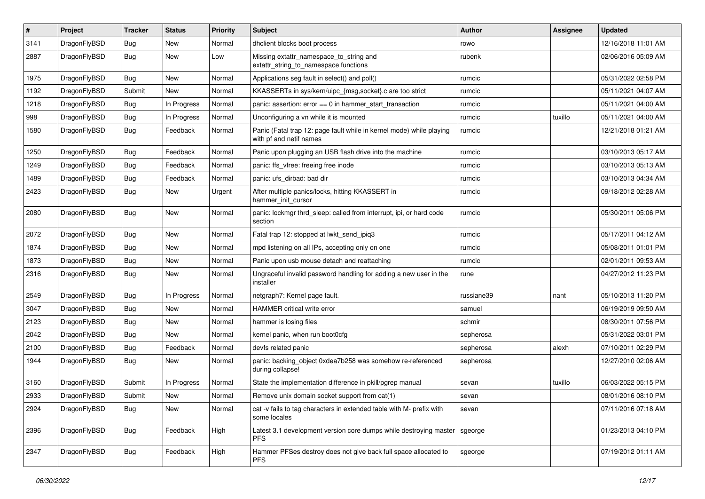| $\sharp$ | Project      | <b>Tracker</b> | <b>Status</b> | <b>Priority</b> | Subject                                                                                         | <b>Author</b> | <b>Assignee</b> | <b>Updated</b>      |
|----------|--------------|----------------|---------------|-----------------|-------------------------------------------------------------------------------------------------|---------------|-----------------|---------------------|
| 3141     | DragonFlyBSD | Bug            | <b>New</b>    | Normal          | dhclient blocks boot process                                                                    | rowo          |                 | 12/16/2018 11:01 AM |
| 2887     | DragonFlyBSD | <b>Bug</b>     | New           | Low             | Missing extattr_namespace_to_string and<br>extattr_string_to_namespace functions                | rubenk        |                 | 02/06/2016 05:09 AM |
| 1975     | DragonFlyBSD | Bug            | <b>New</b>    | Normal          | Applications seg fault in select() and poll()                                                   | rumcic        |                 | 05/31/2022 02:58 PM |
| 1192     | DragonFlyBSD | Submit         | <b>New</b>    | Normal          | KKASSERTs in sys/kern/uipc_{msg,socket}.c are too strict                                        | rumcic        |                 | 05/11/2021 04:07 AM |
| 1218     | DragonFlyBSD | Bug            | In Progress   | Normal          | panic: assertion: $error == 0$ in hammer start transaction                                      | rumcic        |                 | 05/11/2021 04:00 AM |
| 998      | DragonFlyBSD | <b>Bug</b>     | In Progress   | Normal          | Unconfiguring a vn while it is mounted                                                          | rumcic        | tuxillo         | 05/11/2021 04:00 AM |
| 1580     | DragonFlyBSD | Bug            | Feedback      | Normal          | Panic (Fatal trap 12: page fault while in kernel mode) while playing<br>with pf and netif names | rumcic        |                 | 12/21/2018 01:21 AM |
| 1250     | DragonFlyBSD | Bug            | Feedback      | Normal          | Panic upon plugging an USB flash drive into the machine                                         | rumcic        |                 | 03/10/2013 05:17 AM |
| 1249     | DragonFlyBSD | Bug            | Feedback      | Normal          | panic: ffs vfree: freeing free inode                                                            | rumcic        |                 | 03/10/2013 05:13 AM |
| 1489     | DragonFlyBSD | Bug            | Feedback      | Normal          | panic: ufs_dirbad: bad dir                                                                      | rumcic        |                 | 03/10/2013 04:34 AM |
| 2423     | DragonFlyBSD | Bug            | New           | Urgent          | After multiple panics/locks, hitting KKASSERT in<br>hammer init cursor                          | rumcic        |                 | 09/18/2012 02:28 AM |
| 2080     | DragonFlyBSD | Bug            | New           | Normal          | panic: lockmgr thrd_sleep: called from interrupt, ipi, or hard code<br>section                  | rumcic        |                 | 05/30/2011 05:06 PM |
| 2072     | DragonFlyBSD | Bug            | New           | Normal          | Fatal trap 12: stopped at lwkt_send_ipiq3                                                       | rumcic        |                 | 05/17/2011 04:12 AM |
| 1874     | DragonFlyBSD | Bug            | <b>New</b>    | Normal          | mpd listening on all IPs, accepting only on one                                                 | rumcic        |                 | 05/08/2011 01:01 PM |
| 1873     | DragonFlyBSD | <b>Bug</b>     | New           | Normal          | Panic upon usb mouse detach and reattaching                                                     | rumcic        |                 | 02/01/2011 09:53 AM |
| 2316     | DragonFlyBSD | <b>Bug</b>     | <b>New</b>    | Normal          | Ungraceful invalid password handling for adding a new user in the<br>installer                  | rune          |                 | 04/27/2012 11:23 PM |
| 2549     | DragonFlyBSD | Bug            | In Progress   | Normal          | netgraph7: Kernel page fault.                                                                   | russiane39    | nant            | 05/10/2013 11:20 PM |
| 3047     | DragonFlyBSD | Bug            | New           | Normal          | HAMMER critical write error                                                                     | samuel        |                 | 06/19/2019 09:50 AM |
| 2123     | DragonFlyBSD | <b>Bug</b>     | New           | Normal          | hammer is losing files                                                                          | schmir        |                 | 08/30/2011 07:56 PM |
| 2042     | DragonFlyBSD | <b>Bug</b>     | New           | Normal          | kernel panic, when run boot0cfg                                                                 | sepherosa     |                 | 05/31/2022 03:01 PM |
| 2100     | DragonFlyBSD | Bug            | Feedback      | Normal          | devfs related panic                                                                             | sepherosa     | alexh           | 07/10/2011 02:29 PM |
| 1944     | DragonFlyBSD | <b>Bug</b>     | New           | Normal          | panic: backing_object 0xdea7b258 was somehow re-referenced<br>during collapse!                  | sepherosa     |                 | 12/27/2010 02:06 AM |
| 3160     | DragonFlyBSD | Submit         | In Progress   | Normal          | State the implementation difference in pkill/pgrep manual                                       | sevan         | tuxillo         | 06/03/2022 05:15 PM |
| 2933     | DragonFlyBSD | Submit         | <b>New</b>    | Normal          | Remove unix domain socket support from cat(1)                                                   | sevan         |                 | 08/01/2016 08:10 PM |
| 2924     | DragonFlyBSD | <b>Bug</b>     | New           | Normal          | cat -v fails to tag characters in extended table with M- prefix with<br>some locales            | sevan         |                 | 07/11/2016 07:18 AM |
| 2396     | DragonFlyBSD | <b>Bug</b>     | Feedback      | High            | Latest 3.1 development version core dumps while destroying master<br><b>PFS</b>                 | sgeorge       |                 | 01/23/2013 04:10 PM |
| 2347     | DragonFlyBSD | <b>Bug</b>     | Feedback      | High            | Hammer PFSes destroy does not give back full space allocated to<br><b>PFS</b>                   | sgeorge       |                 | 07/19/2012 01:11 AM |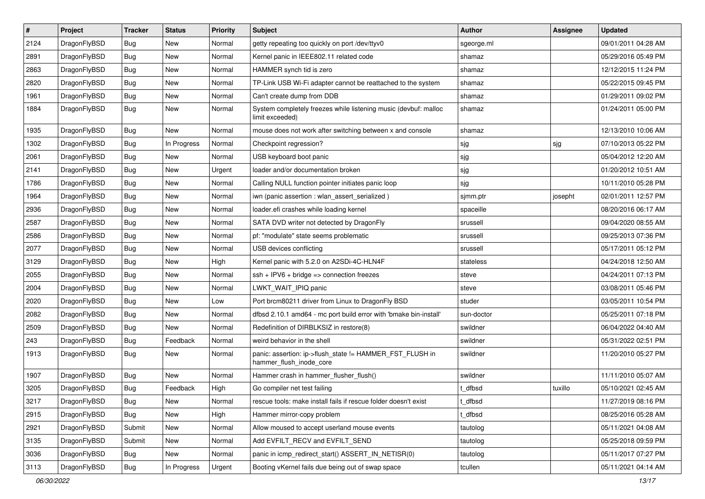| $\sharp$ | Project      | <b>Tracker</b> | <b>Status</b> | <b>Priority</b> | Subject                                                                             | <b>Author</b> | Assignee | <b>Updated</b>      |
|----------|--------------|----------------|---------------|-----------------|-------------------------------------------------------------------------------------|---------------|----------|---------------------|
| 2124     | DragonFlyBSD | Bug            | New           | Normal          | getty repeating too quickly on port /dev/ttyv0                                      | sgeorge.ml    |          | 09/01/2011 04:28 AM |
| 2891     | DragonFlyBSD | Bug            | New           | Normal          | Kernel panic in IEEE802.11 related code                                             | shamaz        |          | 05/29/2016 05:49 PM |
| 2863     | DragonFlyBSD | <b>Bug</b>     | <b>New</b>    | Normal          | HAMMER synch tid is zero                                                            | shamaz        |          | 12/12/2015 11:24 PM |
| 2820     | DragonFlyBSD | <b>Bug</b>     | New           | Normal          | TP-Link USB Wi-Fi adapter cannot be reattached to the system                        | shamaz        |          | 05/22/2015 09:45 PM |
| 1961     | DragonFlyBSD | Bug            | <b>New</b>    | Normal          | Can't create dump from DDB                                                          | shamaz        |          | 01/29/2011 09:02 PM |
| 1884     | DragonFlyBSD | Bug            | <b>New</b>    | Normal          | System completely freezes while listening music (devbuf: malloc<br>limit exceeded)  | shamaz        |          | 01/24/2011 05:00 PM |
| 1935     | DragonFlyBSD | Bug            | <b>New</b>    | Normal          | mouse does not work after switching between x and console                           | shamaz        |          | 12/13/2010 10:06 AM |
| 1302     | DragonFlyBSD | <b>Bug</b>     | In Progress   | Normal          | Checkpoint regression?                                                              | sjg           | sjg      | 07/10/2013 05:22 PM |
| 2061     | DragonFlyBSD | <b>Bug</b>     | <b>New</b>    | Normal          | USB keyboard boot panic                                                             | sjg           |          | 05/04/2012 12:20 AM |
| 2141     | DragonFlyBSD | <b>Bug</b>     | New           | Urgent          | loader and/or documentation broken                                                  | sjg           |          | 01/20/2012 10:51 AM |
| 1786     | DragonFlyBSD | <b>Bug</b>     | <b>New</b>    | Normal          | Calling NULL function pointer initiates panic loop                                  | sjg           |          | 10/11/2010 05:28 PM |
| 1964     | DragonFlyBSD | <b>Bug</b>     | <b>New</b>    | Normal          | iwn (panic assertion : wlan_assert_serialized)                                      | sjmm.ptr      | josepht  | 02/01/2011 12:57 PM |
| 2936     | DragonFlyBSD | <b>Bug</b>     | <b>New</b>    | Normal          | loader.efi crashes while loading kernel                                             | spaceille     |          | 08/20/2016 06:17 AM |
| 2587     | DragonFlyBSD | <b>Bug</b>     | New           | Normal          | SATA DVD writer not detected by DragonFly                                           | srussell      |          | 09/04/2020 08:55 AM |
| 2586     | DragonFlyBSD | <b>Bug</b>     | <b>New</b>    | Normal          | pf: "modulate" state seems problematic                                              | srussell      |          | 09/25/2013 07:36 PM |
| 2077     | DragonFlyBSD | <b>Bug</b>     | <b>New</b>    | Normal          | USB devices conflicting                                                             | srussell      |          | 05/17/2011 05:12 PM |
| 3129     | DragonFlyBSD | <b>Bug</b>     | <b>New</b>    | High            | Kernel panic with 5.2.0 on A2SDi-4C-HLN4F                                           | stateless     |          | 04/24/2018 12:50 AM |
| 2055     | DragonFlyBSD | <b>Bug</b>     | New           | Normal          | $ssh + IPV6 + bridge \Rightarrow connection freezes$                                | steve         |          | 04/24/2011 07:13 PM |
| 2004     | DragonFlyBSD | <b>Bug</b>     | <b>New</b>    | Normal          | LWKT_WAIT_IPIQ panic                                                                | steve         |          | 03/08/2011 05:46 PM |
| 2020     | DragonFlyBSD | <b>Bug</b>     | New           | Low             | Port brcm80211 driver from Linux to DragonFly BSD                                   | studer        |          | 03/05/2011 10:54 PM |
| 2082     | DragonFlyBSD | <b>Bug</b>     | <b>New</b>    | Normal          | dfbsd 2.10.1 amd64 - mc port build error with 'bmake bin-install'                   | sun-doctor    |          | 05/25/2011 07:18 PM |
| 2509     | DragonFlyBSD | <b>Bug</b>     | <b>New</b>    | Normal          | Redefinition of DIRBLKSIZ in restore(8)                                             | swildner      |          | 06/04/2022 04:40 AM |
| 243      | DragonFlyBSD | <b>Bug</b>     | Feedback      | Normal          | weird behavior in the shell                                                         | swildner      |          | 05/31/2022 02:51 PM |
| 1913     | DragonFlyBSD | <b>Bug</b>     | <b>New</b>    | Normal          | panic: assertion: ip->flush_state != HAMMER_FST_FLUSH in<br>hammer_flush_inode_core | swildner      |          | 11/20/2010 05:27 PM |
| 1907     | DragonFlyBSD | <b>Bug</b>     | New           | Normal          | Hammer crash in hammer_flusher_flush()                                              | swildner      |          | 11/11/2010 05:07 AM |
| 3205     | DragonFlyBSD | <b>Bug</b>     | Feedback      | High            | Go compiler net test failing                                                        | t dfbsd       | tuxillo  | 05/10/2021 02:45 AM |
| 3217     | DragonFlyBSD | <b>Bug</b>     | <b>New</b>    | Normal          | rescue tools: make install fails if rescue folder doesn't exist                     | t_dfbsd       |          | 11/27/2019 08:16 PM |
| 2915     | DragonFlyBSD | <b>Bug</b>     | <b>New</b>    | High            | Hammer mirror-copy problem                                                          | t_dfbsd       |          | 08/25/2016 05:28 AM |
| 2921     | DragonFlyBSD | Submit         | <b>New</b>    | Normal          | Allow moused to accept userland mouse events                                        | tautolog      |          | 05/11/2021 04:08 AM |
| 3135     | DragonFlyBSD | Submit         | New           | Normal          | Add EVFILT_RECV and EVFILT_SEND                                                     | tautolog      |          | 05/25/2018 09:59 PM |
| 3036     | DragonFlyBSD | <b>Bug</b>     | New           | Normal          | panic in icmp_redirect_start() ASSERT_IN_NETISR(0)                                  | tautolog      |          | 05/11/2017 07:27 PM |
| 3113     | DragonFlyBSD | <b>Bug</b>     | In Progress   | Urgent          | Booting vKernel fails due being out of swap space                                   | tcullen       |          | 05/11/2021 04:14 AM |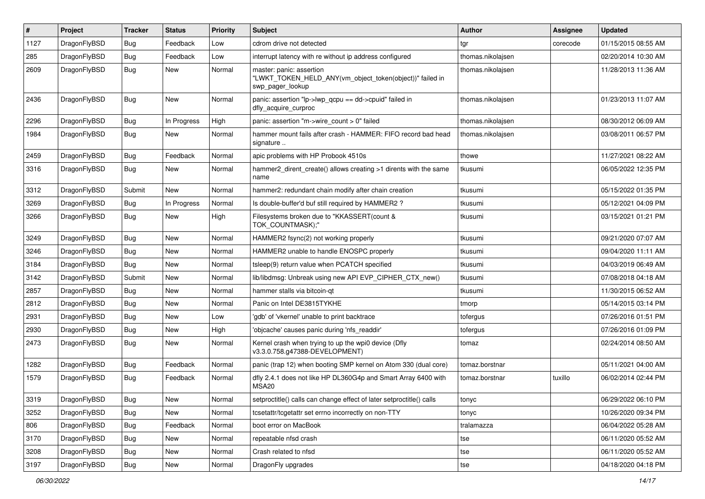| $\pmb{\#}$ | Project      | <b>Tracker</b> | <b>Status</b> | <b>Priority</b> | Subject                                                                                                  | <b>Author</b>     | Assignee | <b>Updated</b>      |
|------------|--------------|----------------|---------------|-----------------|----------------------------------------------------------------------------------------------------------|-------------------|----------|---------------------|
| 1127       | DragonFlyBSD | Bug            | Feedback      | Low             | cdrom drive not detected                                                                                 | tgr               | corecode | 01/15/2015 08:55 AM |
| 285        | DragonFlyBSD | Bug            | Feedback      | Low             | interrupt latency with re without ip address configured                                                  | thomas.nikolajsen |          | 02/20/2014 10:30 AM |
| 2609       | DragonFlyBSD | Bug            | New           | Normal          | master: panic: assertion<br>"LWKT TOKEN HELD ANY(vm object token(object))" failed in<br>swp_pager_lookup | thomas.nikolajsen |          | 11/28/2013 11:36 AM |
| 2436       | DragonFlyBSD | Bug            | New           | Normal          | panic: assertion "lp->lwp_qcpu == dd->cpuid" failed in<br>dfly acquire curproc                           | thomas.nikolajsen |          | 01/23/2013 11:07 AM |
| 2296       | DragonFlyBSD | Bug            | In Progress   | High            | panic: assertion "m->wire_count > 0" failed                                                              | thomas.nikolajsen |          | 08/30/2012 06:09 AM |
| 1984       | DragonFlyBSD | Bug            | New           | Normal          | hammer mount fails after crash - HAMMER: FIFO record bad head<br>signature                               | thomas.nikolajsen |          | 03/08/2011 06:57 PM |
| 2459       | DragonFlyBSD | <b>Bug</b>     | Feedback      | Normal          | apic problems with HP Probook 4510s                                                                      | thowe             |          | 11/27/2021 08:22 AM |
| 3316       | DragonFlyBSD | Bug            | New           | Normal          | hammer2_dirent_create() allows creating >1 dirents with the same<br>name                                 | tkusumi           |          | 06/05/2022 12:35 PM |
| 3312       | DragonFlyBSD | Submit         | New           | Normal          | hammer2: redundant chain modify after chain creation                                                     | tkusumi           |          | 05/15/2022 01:35 PM |
| 3269       | DragonFlyBSD | Bug            | In Progress   | Normal          | Is double-buffer'd buf still required by HAMMER2 ?                                                       | tkusumi           |          | 05/12/2021 04:09 PM |
| 3266       | DragonFlyBSD | Bug            | New           | High            | Filesystems broken due to "KKASSERT(count &<br>TOK COUNTMASK);"                                          | tkusumi           |          | 03/15/2021 01:21 PM |
| 3249       | DragonFlyBSD | Bug            | <b>New</b>    | Normal          | HAMMER2 fsync(2) not working properly                                                                    | tkusumi           |          | 09/21/2020 07:07 AM |
| 3246       | DragonFlyBSD | Bug            | New           | Normal          | HAMMER2 unable to handle ENOSPC properly                                                                 | tkusumi           |          | 09/04/2020 11:11 AM |
| 3184       | DragonFlyBSD | Bug            | <b>New</b>    | Normal          | tsleep(9) return value when PCATCH specified                                                             | tkusumi           |          | 04/03/2019 06:49 AM |
| 3142       | DragonFlyBSD | Submit         | New           | Normal          | lib/libdmsg: Unbreak using new API EVP_CIPHER_CTX_new()                                                  | tkusumi           |          | 07/08/2018 04:18 AM |
| 2857       | DragonFlyBSD | Bug            | New           | Normal          | hammer stalls via bitcoin-gt                                                                             | tkusumi           |          | 11/30/2015 06:52 AM |
| 2812       | DragonFlyBSD | <b>Bug</b>     | New           | Normal          | Panic on Intel DE3815TYKHE                                                                               | tmorp             |          | 05/14/2015 03:14 PM |
| 2931       | DragonFlyBSD | <b>Bug</b>     | New           | Low             | 'gdb' of 'vkernel' unable to print backtrace                                                             | tofergus          |          | 07/26/2016 01:51 PM |
| 2930       | DragonFlyBSD | Bug            | <b>New</b>    | High            | 'objcache' causes panic during 'nfs_readdir'                                                             | tofergus          |          | 07/26/2016 01:09 PM |
| 2473       | DragonFlyBSD | Bug            | New           | Normal          | Kernel crash when trying to up the wpi0 device (Dfly<br>v3.3.0.758.g47388-DEVELOPMENT)                   | tomaz             |          | 02/24/2014 08:50 AM |
| 1282       | DragonFlyBSD | Bug            | Feedback      | Normal          | panic (trap 12) when booting SMP kernel on Atom 330 (dual core)                                          | tomaz.borstnar    |          | 05/11/2021 04:00 AM |
| 1579       | DragonFlyBSD | Bug            | Feedback      | Normal          | dfly 2.4.1 does not like HP DL360G4p and Smart Array 6400 with<br>MSA <sub>20</sub>                      | tomaz.borstnar    | tuxillo  | 06/02/2014 02:44 PM |
| 3319       | DragonFlyBSD | Bug            | New           | Normal          | setproctitle() calls can change effect of later setproctitle() calls                                     | tonyc             |          | 06/29/2022 06:10 PM |
| 3252       | DragonFlyBSD | Bug            | New           | Normal          | tcsetattr/tcgetattr set errno incorrectly on non-TTY                                                     | tonyc             |          | 10/26/2020 09:34 PM |
| 806        | DragonFlyBSD | <b>Bug</b>     | Feedback      | Normal          | boot error on MacBook                                                                                    | tralamazza        |          | 06/04/2022 05:28 AM |
| 3170       | DragonFlyBSD | Bug            | New           | Normal          | repeatable nfsd crash                                                                                    | tse               |          | 06/11/2020 05:52 AM |
| 3208       | DragonFlyBSD | Bug            | New           | Normal          | Crash related to nfsd                                                                                    | tse               |          | 06/11/2020 05:52 AM |
| 3197       | DragonFlyBSD | Bug            | New           | Normal          | DragonFly upgrades                                                                                       | tse               |          | 04/18/2020 04:18 PM |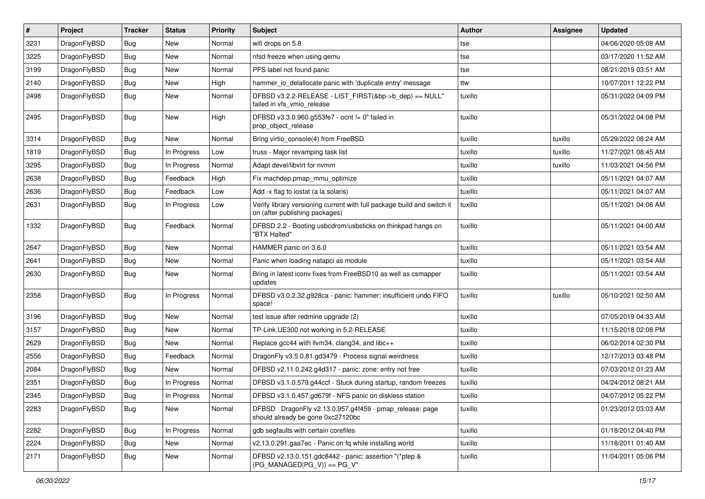| $\pmb{\#}$ | Project      | <b>Tracker</b> | <b>Status</b> | <b>Priority</b> | Subject                                                                                                   | <b>Author</b> | Assignee | <b>Updated</b>      |
|------------|--------------|----------------|---------------|-----------------|-----------------------------------------------------------------------------------------------------------|---------------|----------|---------------------|
| 3231       | DragonFlyBSD | Bug            | <b>New</b>    | Normal          | wifi drops on 5.8                                                                                         | tse           |          | 04/06/2020 05:08 AM |
| 3225       | DragonFlyBSD | Bug            | <b>New</b>    | Normal          | nfsd freeze when using qemu                                                                               | tse           |          | 03/17/2020 11:52 AM |
| 3199       | DragonFlyBSD | <b>Bug</b>     | New           | Normal          | PFS label not found panic                                                                                 | tse           |          | 08/21/2019 03:51 AM |
| 2140       | DragonFlyBSD | Bug            | <b>New</b>    | High            | hammer_io_delallocate panic with 'duplicate entry' message                                                | ttw           |          | 10/07/2011 12:22 PM |
| 2498       | DragonFlyBSD | <b>Bug</b>     | New           | Normal          | DFBSD v3.2.2-RELEASE - LIST_FIRST(&bp->b_dep) == NULL"<br>failed in vfs_vmio_release                      | tuxillo       |          | 05/31/2022 04:09 PM |
| 2495       | DragonFlyBSD | Bug            | New           | High            | DFBSD v3.3.0.960.g553fe7 - ocnt != 0" failed in<br>prop object release                                    | tuxillo       |          | 05/31/2022 04:08 PM |
| 3314       | DragonFlyBSD | Bug            | <b>New</b>    | Normal          | Bring virtio_console(4) from FreeBSD                                                                      | tuxillo       | tuxillo  | 05/29/2022 08:24 AM |
| 1819       | DragonFlyBSD | <b>Bug</b>     | In Progress   | Low             | truss - Major revamping task list                                                                         | tuxillo       | tuxillo  | 11/27/2021 08:45 AM |
| 3295       | DragonFlyBSD | <b>Bug</b>     | In Progress   | Normal          | Adapt devel/libvirt for nvmm                                                                              | tuxillo       | tuxillo  | 11/03/2021 04:56 PM |
| 2638       | DragonFlyBSD | Bug            | Feedback      | High            | Fix machdep.pmap_mmu_optimize                                                                             | tuxillo       |          | 05/11/2021 04:07 AM |
| 2636       | DragonFlyBSD | <b>Bug</b>     | Feedback      | Low             | Add -x flag to iostat (a la solaris)                                                                      | tuxillo       |          | 05/11/2021 04:07 AM |
| 2631       | DragonFlyBSD | Bug            | In Progress   | Low             | Verify library versioning current with full package build and switch it<br>on (after publishing packages) | tuxillo       |          | 05/11/2021 04:06 AM |
| 1332       | DragonFlyBSD | Bug            | Feedback      | Normal          | DFBSD 2.2 - Booting usbcdrom/usbsticks on thinkpad hangs on<br>"BTX Halted"                               | tuxillo       |          | 05/11/2021 04:00 AM |
| 2647       | DragonFlyBSD | Bug            | <b>New</b>    | Normal          | HAMMER panic on 3.6.0                                                                                     | tuxillo       |          | 05/11/2021 03:54 AM |
| 2641       | DragonFlyBSD | <b>Bug</b>     | <b>New</b>    | Normal          | Panic when loading natapci as module                                                                      | tuxillo       |          | 05/11/2021 03:54 AM |
| 2630       | DragonFlyBSD | Bug            | New           | Normal          | Bring in latest iconv fixes from FreeBSD10 as well as csmapper<br>updates                                 | tuxillo       |          | 05/11/2021 03:54 AM |
| 2358       | DragonFlyBSD | <b>Bug</b>     | In Progress   | Normal          | DFBSD v3.0.2.32.g928ca - panic: hammer: insufficient undo FIFO<br>space!                                  | tuxillo       | tuxillo  | 05/10/2021 02:50 AM |
| 3196       | DragonFlyBSD | <b>Bug</b>     | New           | Normal          | test issue after redmine upgrade (2)                                                                      | tuxillo       |          | 07/05/2019 04:33 AM |
| 3157       | DragonFlyBSD | Bug            | <b>New</b>    | Normal          | TP-Link UE300 not working in 5.2-RELEASE                                                                  | tuxillo       |          | 11/15/2018 02:08 PM |
| 2629       | DragonFlyBSD | <b>Bug</b>     | <b>New</b>    | Normal          | Replace gcc44 with llvm34, clang34, and libc++                                                            | tuxillo       |          | 06/02/2014 02:30 PM |
| 2556       | DragonFlyBSD | <b>Bug</b>     | Feedback      | Normal          | DragonFly v3.5.0.81.gd3479 - Process signal weirdness                                                     | tuxillo       |          | 12/17/2013 03:48 PM |
| 2084       | DragonFlyBSD | Bug            | New           | Normal          | DFBSD v2.11.0.242.g4d317 - panic: zone: entry not free                                                    | tuxillo       |          | 07/03/2012 01:23 AM |
| 2351       | DragonFlyBSD | <b>Bug</b>     | In Progress   | Normal          | DFBSD v3.1.0.579.g44ccf - Stuck during startup, random freezes                                            | tuxillo       |          | 04/24/2012 08:21 AM |
| 2345       | DragonFlyBSD | Bug            | In Progress   | Normal          | DFBSD v3.1.0.457.gd679f - NFS panic on diskless station                                                   | tuxillo       |          | 04/07/2012 05:22 PM |
| 2283       | DragonFlyBSD | <b>Bug</b>     | New           | Normal          | DFBSD DragonFly v2.13.0.957.g4f459 - pmap_release: page<br>should already be gone 0xc27120bc              | tuxillo       |          | 01/23/2012 03:03 AM |
| 2282       | DragonFlyBSD | <b>Bug</b>     | In Progress   | Normal          | gdb segfaults with certain corefiles                                                                      | tuxillo       |          | 01/18/2012 04:40 PM |
| 2224       | DragonFlyBSD | <b>Bug</b>     | New           | Normal          | v2.13.0.291.gaa7ec - Panic on fq while installing world                                                   | tuxillo       |          | 11/18/2011 01:40 AM |
| 2171       | DragonFlyBSD | Bug            | New           | Normal          | DFBSD v2.13.0.151.gdc8442 - panic: assertion "(*ptep &<br>$(PG_MANAGED PG_V)) == PG_V"$                   | tuxillo       |          | 11/04/2011 05:06 PM |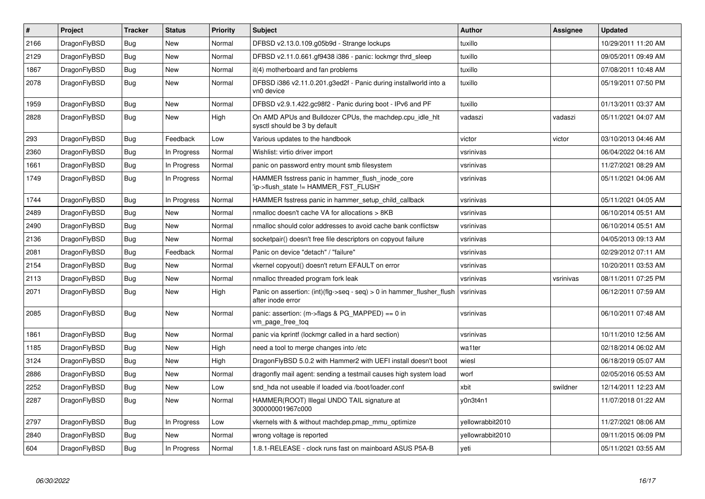| $\vert$ # | Project      | <b>Tracker</b> | <b>Status</b> | <b>Priority</b> | <b>Subject</b>                                                                             | <b>Author</b>    | Assignee  | <b>Updated</b>      |
|-----------|--------------|----------------|---------------|-----------------|--------------------------------------------------------------------------------------------|------------------|-----------|---------------------|
| 2166      | DragonFlyBSD | <b>Bug</b>     | New           | Normal          | DFBSD v2.13.0.109.g05b9d - Strange lockups                                                 | tuxillo          |           | 10/29/2011 11:20 AM |
| 2129      | DragonFlyBSD | Bug            | New           | Normal          | DFBSD v2.11.0.661.gf9438 i386 - panic: lockmgr thrd sleep                                  | tuxillo          |           | 09/05/2011 09:49 AM |
| 1867      | DragonFlyBSD | Bug            | New           | Normal          | it(4) motherboard and fan problems                                                         | tuxillo          |           | 07/08/2011 10:48 AM |
| 2078      | DragonFlyBSD | <b>Bug</b>     | New           | Normal          | DFBSD i386 v2.11.0.201.g3ed2f - Panic during installworld into a<br>vn0 device             | tuxillo          |           | 05/19/2011 07:50 PM |
| 1959      | DragonFlyBSD | <b>Bug</b>     | New           | Normal          | DFBSD v2.9.1.422.gc98f2 - Panic during boot - IPv6 and PF                                  | tuxillo          |           | 01/13/2011 03:37 AM |
| 2828      | DragonFlyBSD | Bug            | New           | High            | On AMD APUs and Bulldozer CPUs, the machdep.cpu idle hit<br>sysctl should be 3 by default  | vadaszi          | vadaszi   | 05/11/2021 04:07 AM |
| 293       | DragonFlyBSD | Bug            | Feedback      | Low             | Various updates to the handbook                                                            | victor           | victor    | 03/10/2013 04:46 AM |
| 2360      | DragonFlyBSD | Bug            | In Progress   | Normal          | Wishlist: virtio driver import                                                             | vsrinivas        |           | 06/04/2022 04:16 AM |
| 1661      | DragonFlyBSD | Bug            | In Progress   | Normal          | panic on password entry mount smb filesystem                                               | vsrinivas        |           | 11/27/2021 08:29 AM |
| 1749      | DragonFlyBSD | <b>Bug</b>     | In Progress   | Normal          | HAMMER fsstress panic in hammer flush inode core<br>'ip->flush_state != HAMMER_FST_FLUSH'  | vsrinivas        |           | 05/11/2021 04:06 AM |
| 1744      | DragonFlyBSD | <b>Bug</b>     | In Progress   | Normal          | HAMMER fsstress panic in hammer_setup_child_callback                                       | vsrinivas        |           | 05/11/2021 04:05 AM |
| 2489      | DragonFlyBSD | Bug            | New           | Normal          | nmalloc doesn't cache VA for allocations > 8KB                                             | vsrinivas        |           | 06/10/2014 05:51 AM |
| 2490      | DragonFlyBSD | Bug            | <b>New</b>    | Normal          | nmalloc should color addresses to avoid cache bank conflictsw                              | vsrinivas        |           | 06/10/2014 05:51 AM |
| 2136      | DragonFlyBSD | <b>Bug</b>     | New           | Normal          | socketpair() doesn't free file descriptors on copyout failure                              | vsrinivas        |           | 04/05/2013 09:13 AM |
| 2081      | DragonFlyBSD | Bug            | Feedback      | Normal          | Panic on device "detach" / "failure"                                                       | vsrinivas        |           | 02/29/2012 07:11 AM |
| 2154      | DragonFlyBSD | <b>Bug</b>     | <b>New</b>    | Normal          | vkernel copyout() doesn't return EFAULT on error                                           | vsrinivas        |           | 10/20/2011 03:53 AM |
| 2113      | DragonFlyBSD | Bug            | New           | Normal          | nmalloc threaded program fork leak                                                         | vsrinivas        | vsrinivas | 08/11/2011 07:25 PM |
| 2071      | DragonFlyBSD | <b>Bug</b>     | New           | High            | Panic on assertion: (int)(flg->seq - seq) > 0 in hammer_flusher_flush<br>after inode error | vsrinivas        |           | 06/12/2011 07:59 AM |
| 2085      | DragonFlyBSD | <b>Bug</b>     | New           | Normal          | panic: assertion: (m->flags & PG_MAPPED) == 0 in<br>vm_page_free_toq                       | vsrinivas        |           | 06/10/2011 07:48 AM |
| 1861      | DragonFlyBSD | Bug            | <b>New</b>    | Normal          | panic via kprintf (lockmgr called in a hard section)                                       | vsrinivas        |           | 10/11/2010 12:56 AM |
| 1185      | DragonFlyBSD | Bug            | <b>New</b>    | High            | need a tool to merge changes into /etc                                                     | wa1ter           |           | 02/18/2014 06:02 AM |
| 3124      | DragonFlyBSD | Bug            | New           | High            | DragonFlyBSD 5.0.2 with Hammer2 with UEFI install doesn't boot                             | wiesl            |           | 06/18/2019 05:07 AM |
| 2886      | DragonFlyBSD | <b>Bug</b>     | New           | Normal          | dragonfly mail agent: sending a testmail causes high system load                           | worf             |           | 02/05/2016 05:53 AM |
| 2252      | DragonFlyBSD | Bug            | New           | Low             | snd hda not useable if loaded via /boot/loader.conf                                        | xbit             | swildner  | 12/14/2011 12:23 AM |
| 2287      | DragonFlyBSD | Bug            | New           | Normal          | HAMMER(ROOT) Illegal UNDO TAIL signature at<br>300000001967c000                            | y0n3t4n1         |           | 11/07/2018 01:22 AM |
| 2797      | DragonFlyBSD | <b>Bug</b>     | In Progress   | Low             | vkernels with & without machdep.pmap_mmu_optimize                                          | yellowrabbit2010 |           | 11/27/2021 08:06 AM |
| 2840      | DragonFlyBSD | Bug            | New           | Normal          | wrong voltage is reported                                                                  | vellowrabbit2010 |           | 09/11/2015 06:09 PM |
| 604       | DragonFlyBSD | <b>Bug</b>     | In Progress   | Normal          | 1.8.1-RELEASE - clock runs fast on mainboard ASUS P5A-B                                    | yeti             |           | 05/11/2021 03:55 AM |